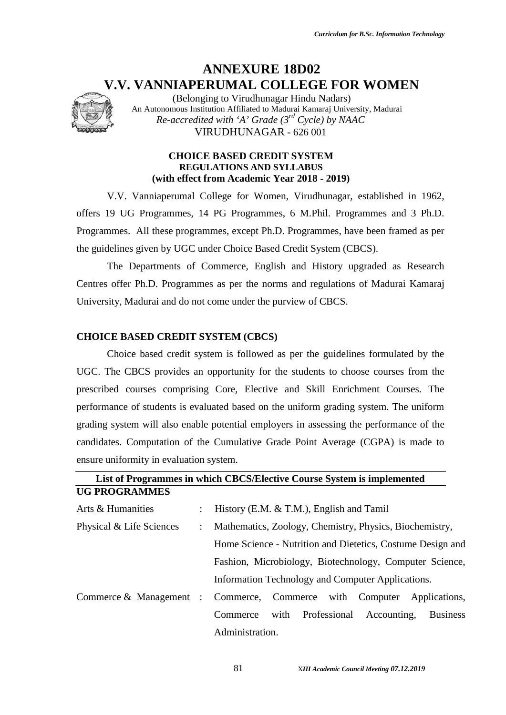# **ANNEXURE 18D02 V.V. VANNIAPERUMAL COLLEGE FOR WOMEN**



(Belonging to Virudhunagar Hindu Nadars) An Autonomous Institution Affiliated to Madurai Kamaraj University, Madurai *Re-accredited with 'A' Grade (3rd Cycle) by NAAC* VIRUDHUNAGAR - 626 001

#### **CHOICE BASED CREDIT SYSTEM REGULATIONS AND SYLLABUS (with effect from Academic Year 2018 - 2019)**

V.V. Vanniaperumal College for Women, Virudhunagar, established in 1962, offers 19 UG Programmes, 14 PG Programmes, 6 M.Phil. Programmes and 3 Ph.D. Programmes. All these programmes, except Ph.D. Programmes, have been framed as per the guidelines given by UGC under Choice Based Credit System (CBCS).

The Departments of Commerce, English and History upgraded as Research Centres offer Ph.D. Programmes as per the norms and regulations of Madurai Kamaraj University, Madurai and do not come under the purview of CBCS.

#### **CHOICE BASED CREDIT SYSTEM (CBCS)**

Choice based credit system is followed as per the guidelines formulated by the UGC. The CBCS provides an opportunity for the students to choose courses from the prescribed courses comprising Core, Elective and Skill Enrichment Courses. The performance of students is evaluated based on the uniform grading system. The uniform grading system will also enable potential employers in assessing the performance of the candidates. Computation of the Cumulative Grade Point Average (CGPA) is made to ensure uniformity in evaluation system.

|                          |                      | List of Programmes in which CBCS/Elective Course System is implemented |  |  |  |  |
|--------------------------|----------------------|------------------------------------------------------------------------|--|--|--|--|
| <b>UG PROGRAMMES</b>     |                      |                                                                        |  |  |  |  |
| Arts & Humanities        | $\ddot{\phantom{0}}$ | History (E.M. $&$ T.M.), English and Tamil                             |  |  |  |  |
| Physical & Life Sciences | $\ddot{\cdot}$       | Mathematics, Zoology, Chemistry, Physics, Biochemistry,                |  |  |  |  |
|                          |                      | Home Science - Nutrition and Dietetics, Costume Design and             |  |  |  |  |
|                          |                      | Fashion, Microbiology, Biotechnology, Computer Science,                |  |  |  |  |
|                          |                      | Information Technology and Computer Applications.                      |  |  |  |  |
|                          |                      | Commerce & Management : Commerce, Commerce with Computer Applications, |  |  |  |  |
|                          |                      | Professional<br>with<br>Accounting,<br><b>Business</b><br>Commerce     |  |  |  |  |
|                          |                      | Administration.                                                        |  |  |  |  |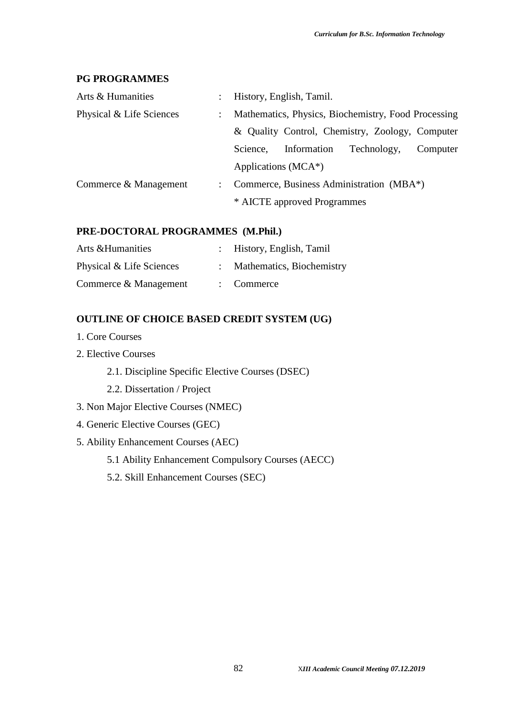#### **PG PROGRAMMES**

| Arts & Humanities        | $\mathbb{Z}^{\mathbb{Z}}$                                                        | History, English, Tamil.                        |  |                                          |  |  |  |
|--------------------------|----------------------------------------------------------------------------------|-------------------------------------------------|--|------------------------------------------|--|--|--|
| Physical & Life Sciences | Mathematics, Physics, Biochemistry, Food Processing<br>$\mathbb{R}^{\mathbb{Z}}$ |                                                 |  |                                          |  |  |  |
|                          |                                                                                  | & Quality Control, Chemistry, Zoology, Computer |  |                                          |  |  |  |
|                          | Information<br>Technology,<br>Science.<br>Computer                               |                                                 |  |                                          |  |  |  |
|                          |                                                                                  | Applications (MCA*)                             |  |                                          |  |  |  |
| Commerce & Management    | $\mathcal{L}$                                                                    |                                                 |  | Commerce, Business Administration (MBA*) |  |  |  |
|                          |                                                                                  | * AICTE approved Programmes                     |  |                                          |  |  |  |

#### **PRE-DOCTORAL PROGRAMMES (M.Phil.)**

| Arts & Humanities        | : History, English, Tamil   |
|--------------------------|-----------------------------|
| Physical & Life Sciences | : Mathematics, Biochemistry |
| Commerce & Management    | $:$ Commerce                |

### **OUTLINE OF CHOICE BASED CREDIT SYSTEM (UG)**

- 1. Core Courses
- 2. Elective Courses
	- 2.1. Discipline Specific Elective Courses (DSEC)
	- 2.2. Dissertation / Project
- 3. Non Major Elective Courses (NMEC)
- 4. Generic Elective Courses (GEC)
- 5. Ability Enhancement Courses (AEC)
	- 5.1 Ability Enhancement Compulsory Courses (AECC)
	- 5.2. Skill Enhancement Courses (SEC)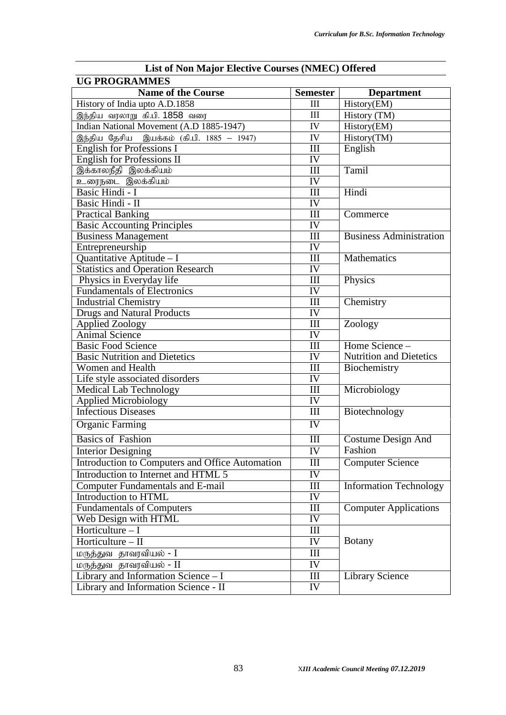| <b>List of Non Major Elective Courses (NMEC) Offered</b> |                        |                                |  |  |  |
|----------------------------------------------------------|------------------------|--------------------------------|--|--|--|
| <b>UG PROGRAMMES</b>                                     |                        |                                |  |  |  |
| <b>Name of the Course</b>                                | <b>Semester</b>        | <b>Department</b>              |  |  |  |
| History of India upto A.D.1858                           | III                    | History(EM)                    |  |  |  |
| இந்திய வரலாறு கி.பி. 1858 வரை                            | III                    | History (TM)                   |  |  |  |
| Indian National Movement (A.D 1885-1947)                 | IV                     | History(EM)                    |  |  |  |
| இந்திய தேசிய இயக்கம் (கி.பி. 1885 – 1947)                | IV                     | History(TM)                    |  |  |  |
| <b>English for Professions I</b>                         | III                    | English                        |  |  |  |
| <b>English for Professions II</b>                        | IV                     |                                |  |  |  |
| இக்காலநீதி இலக்கியம்                                     | III                    | Tamil                          |  |  |  |
| உரைநடை இலக்கியம்                                         | IV                     |                                |  |  |  |
| Basic Hindi - I                                          | III                    | Hindi                          |  |  |  |
| Basic Hindi - II                                         | IV                     |                                |  |  |  |
| <b>Practical Banking</b>                                 | III                    | Commerce                       |  |  |  |
| <b>Basic Accounting Principles</b>                       | $\overline{\text{IV}}$ |                                |  |  |  |
| <b>Business Management</b>                               | III                    | <b>Business Administration</b> |  |  |  |
| Entrepreneurship                                         | IV                     |                                |  |  |  |
| Quantitative Aptitude - I                                | III                    | <b>Mathematics</b>             |  |  |  |
| <b>Statistics and Operation Research</b>                 | IV                     |                                |  |  |  |
| Physics in Everyday life                                 | III                    | Physics                        |  |  |  |
| <b>Fundamentals of Electronics</b>                       | $\overline{IV}$        |                                |  |  |  |
| <b>Industrial Chemistry</b>                              | III                    | Chemistry                      |  |  |  |
| <b>Drugs and Natural Products</b>                        | IV                     |                                |  |  |  |
| <b>Applied Zoology</b>                                   | III                    | Zoology                        |  |  |  |
| <b>Animal Science</b>                                    | IV                     |                                |  |  |  |
| <b>Basic Food Science</b>                                | III                    | Home Science -                 |  |  |  |
| <b>Basic Nutrition and Dietetics</b>                     | IV                     | <b>Nutrition and Dietetics</b> |  |  |  |
| Women and Health                                         | III                    | Biochemistry                   |  |  |  |
| Life style associated disorders                          | IV                     |                                |  |  |  |
| Medical Lab Technology                                   | III                    | Microbiology                   |  |  |  |
| Applied Microbiology                                     | IV                     |                                |  |  |  |
| <b>Infectious Diseases</b>                               | III                    | Biotechnology                  |  |  |  |
| <b>Organic Farming</b>                                   | IV                     |                                |  |  |  |
| <b>Basics of Fashion</b>                                 | III                    | <b>Costume Design And</b>      |  |  |  |
| <b>Interior Designing</b>                                | IV                     | Fashion                        |  |  |  |
| Introduction to Computers and Office Automation          | $\rm III$              | <b>Computer Science</b>        |  |  |  |
| Introduction to Internet and HTML 5                      | IV                     |                                |  |  |  |
| Computer Fundamentals and E-mail                         | $\rm III$              | <b>Information Technology</b>  |  |  |  |
| Introduction to HTML                                     | IV                     |                                |  |  |  |
| <b>Fundamentals of Computers</b>                         | III                    | <b>Computer Applications</b>   |  |  |  |
| Web Design with HTML                                     | IV                     |                                |  |  |  |
| Horticulture $-I$                                        | Ш                      |                                |  |  |  |
| Horticulture - II                                        |                        | <b>Botany</b>                  |  |  |  |
|                                                          | IV                     |                                |  |  |  |
| மருத்துவ தாவரவியல் - I                                   | Ш                      |                                |  |  |  |
| மருத்துவ தாவரவியல் - $\overline{\text{II}}$              | IV                     |                                |  |  |  |
| Library and Information Science - I                      | Ш                      | <b>Library Science</b>         |  |  |  |
| Library and Information Science - II                     | IV                     |                                |  |  |  |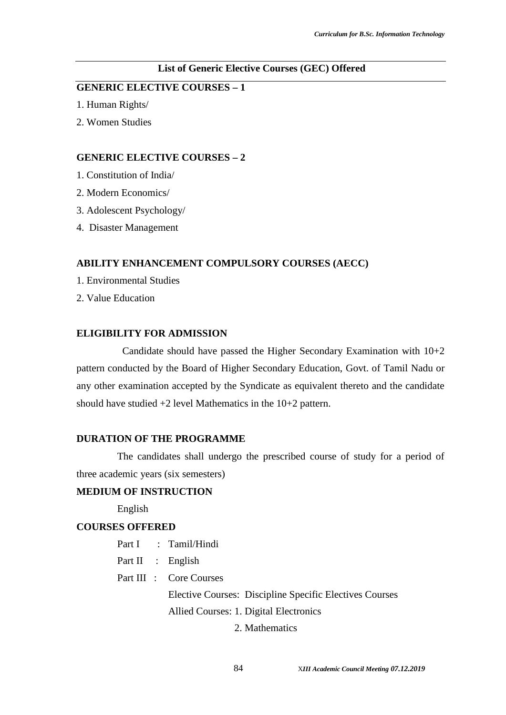#### **List of Generic Elective Courses (GEC) Offered**

### **GENERIC ELECTIVE COURSES – 1**

- 1. Human Rights/
- 2. Women Studies

#### **GENERIC ELECTIVE COURSES – 2**

- 1. Constitution of India/
- 2. Modern Economics/
- 3. Adolescent Psychology/
- 4. Disaster Management

#### **ABILITY ENHANCEMENT COMPULSORY COURSES (AECC)**

- 1. Environmental Studies
- 2. Value Education

#### **ELIGIBILITY FOR ADMISSION**

Candidate should have passed the Higher Secondary Examination with  $10+2$ pattern conducted by the Board of Higher Secondary Education, Govt. of Tamil Nadu or any other examination accepted by the Syndicate as equivalent thereto and the candidate should have studied  $+2$  level Mathematics in the  $10+2$  pattern.

#### **DURATION OF THE PROGRAMME**

The candidates shall undergo the prescribed course of study for a period of three academic years (six semesters)

#### **MEDIUM OF INSTRUCTION**

English

#### **COURSES OFFERED**

- Part I : Tamil/Hindi
- Part II : English
- Part III : Core Courses

Elective Courses: Discipline Specific Electives Courses Allied Courses: 1. Digital Electronics

2. Mathematics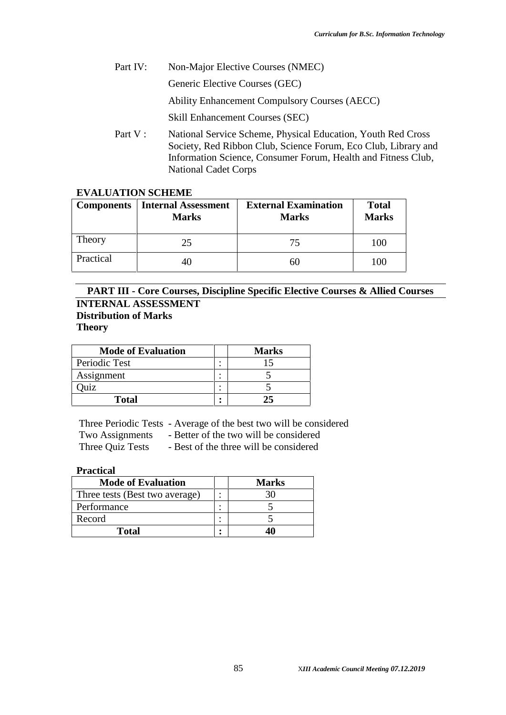Part IV: Non-Major Elective Courses (NMEC)

Generic Elective Courses (GEC)

Ability Enhancement Compulsory Courses (AECC)

Skill Enhancement Courses (SEC)

Part V : National Service Scheme, Physical Education, Youth Red Cross Society, Red Ribbon Club, Science Forum, Eco Club, Library and Information Science, Consumer Forum, Health and Fitness Club, National Cadet Corps

#### **EVALUATION SCHEME**

| <b>Components</b> | Internal Assessment<br><b>Marks</b> | <b>External Examination</b><br><b>Marks</b> | <b>Total</b><br><b>Marks</b> |
|-------------------|-------------------------------------|---------------------------------------------|------------------------------|
| Theory            | 25                                  | 75                                          | 100                          |
| Practical         | 40                                  | hU                                          | 100                          |

### **PART III - Core Courses, Discipline Specific Elective Courses & Allied Courses INTERNAL ASSESSMENT Distribution of Marks Theory**

| <b>Mode of Evaluation</b> |                          | <b>Marks</b> |
|---------------------------|--------------------------|--------------|
| Periodic Test             | $\hat{\phantom{a}}$      |              |
| Assignment                | ٠<br>$\hat{\phantom{a}}$ |              |
| uiz                       | ٠                        |              |
| <b>Total</b>              | ٠                        |              |

Three Periodic Tests - Average of the best two will be considered

Two Assignments - Better of the two will be considered

Three Quiz Tests - Best of the three will be considered

### **Practical**

| <b>Mode of Evaluation</b>      | <b>Marks</b> |
|--------------------------------|--------------|
| Three tests (Best two average) |              |
| Performance                    |              |
| Record                         |              |
| Total                          |              |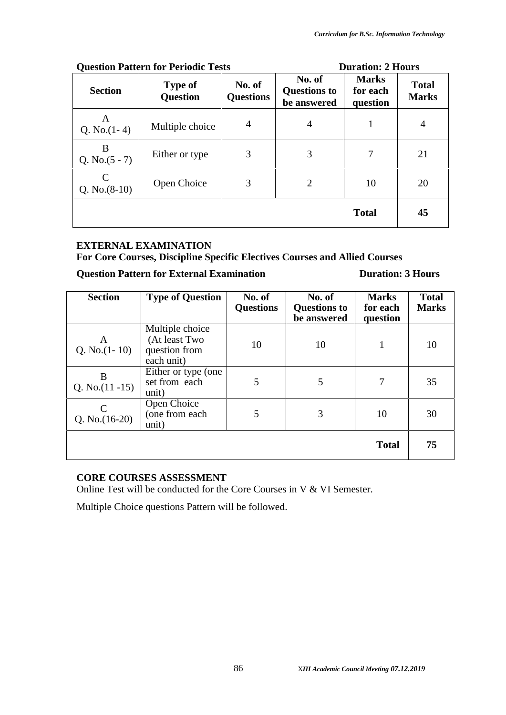|                                  | Question Pattern for Periodic Tests | <b>Duration: 2 Hours</b>   |                                              |                                      |                              |  |
|----------------------------------|-------------------------------------|----------------------------|----------------------------------------------|--------------------------------------|------------------------------|--|
| <b>Section</b>                   | <b>Type of</b><br><b>Question</b>   | No. of<br><b>Questions</b> | No. of<br><b>Questions to</b><br>be answered | <b>Marks</b><br>for each<br>question | <b>Total</b><br><b>Marks</b> |  |
| A<br>Q. No. $(1-4)$              | Multiple choice                     | $\overline{4}$             | $\overline{4}$                               | 1                                    | $\overline{4}$               |  |
| B<br>Q. No. $(5 - 7)$            | Either or type                      | 3                          | 3                                            | 7                                    | 21                           |  |
| $\mathcal{C}$<br>Q. No. $(8-10)$ | Open Choice                         | 3                          | $\overline{2}$                               | 10                                   | 20                           |  |
|                                  |                                     |                            |                                              | <b>Total</b>                         | 45                           |  |

### **Question Pattern for Periodic Tests Duration: 2 Hours**

## **EXTERNAL EXAMINATION**

**For Core Courses, Discipline Specific Electives Courses and Allied Courses**

### **Question Pattern for External Examination Duration: 3 Hours**

| <b>Section</b>          | <b>Type of Question</b>                                         | No. of<br><b>Questions</b> | No. of<br><b>Questions to</b><br>be answered | <b>Marks</b><br>for each<br>question | <b>Total</b><br><b>Marks</b> |
|-------------------------|-----------------------------------------------------------------|----------------------------|----------------------------------------------|--------------------------------------|------------------------------|
| A<br>Q. No. $(1-10)$    | Multiple choice<br>(At least Two<br>question from<br>each unit) | 10                         | 10                                           | 1                                    | 10                           |
| B<br>Q. No. $(11 - 15)$ | Either or type (one<br>set from each<br>unit)                   | 5                          | 5                                            | 7                                    | 35                           |
| C<br>Q. No. $(16-20)$   | Open Choice<br>(one from each<br>unit)                          | 5                          | 3                                            | 10                                   | 30                           |
|                         |                                                                 |                            |                                              | <b>Total</b>                         | 75                           |

### **CORE COURSES ASSESSMENT**

Online Test will be conducted for the Core Courses in V & VI Semester.

Multiple Choice questions Pattern will be followed.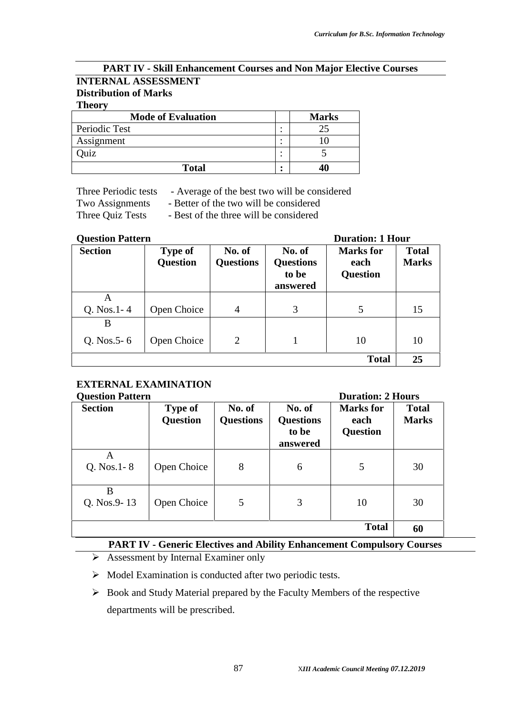### **PART IV - Skill Enhancement Courses and Non Major Elective Courses INTERNAL ASSESSMENT Distribution of Marks**

#### **Theory**

| <b>Mode of Evaluation</b> | <b>Marks</b> |
|---------------------------|--------------|
| Periodic Test             |              |
| Assignment                |              |
| uiz                       |              |
| <b>Total</b>              | 40           |

Three Periodic tests - Average of the best two will be considered

Two Assignments - Better of the two will be considered

Three Quiz Tests - Best of the three will be considered

### **Question Pattern Duration: 1 Hour**

| Vutstivii 1 attei il |                                   |                            | Durauvii. 1 Muu                                 |                                             |                              |  |
|----------------------|-----------------------------------|----------------------------|-------------------------------------------------|---------------------------------------------|------------------------------|--|
| <b>Section</b>       | <b>Type of</b><br><b>Question</b> | No. of<br><b>Questions</b> | No. of<br><b>Questions</b><br>to be<br>answered | <b>Marks</b> for<br>each<br><b>Question</b> | <b>Total</b><br><b>Marks</b> |  |
| A                    |                                   |                            |                                                 |                                             |                              |  |
| $Q. Nos. 1 - 4$      | Open Choice                       | $\overline{4}$             | 3                                               | 5                                           | 15                           |  |
| B                    |                                   |                            |                                                 |                                             |                              |  |
| Q. Nos. $5 - 6$      | Open Choice                       | 2                          |                                                 | 10                                          | 10                           |  |
|                      |                                   |                            |                                                 | <b>Total</b>                                | 25                           |  |

# **EXTERNAL EXAMINATION**

| <b>Question Pattern</b> | <b>Duration: 2 Hours</b>   |                            |                                                 |                                             |                              |
|-------------------------|----------------------------|----------------------------|-------------------------------------------------|---------------------------------------------|------------------------------|
| <b>Section</b>          | Type of<br><b>Question</b> | No. of<br><b>Questions</b> | No. of<br><b>Questions</b><br>to be<br>answered | <b>Marks</b> for<br>each<br><b>Question</b> | <b>Total</b><br><b>Marks</b> |
| A<br>$Q. Nos. 1-8$      | Open Choice                | 8                          | 6                                               | 5                                           | 30                           |
| B<br>Q. Nos.9-13        | Open Choice                | 5                          | 3                                               | 10                                          | 30                           |
|                         |                            |                            |                                                 | <b>Total</b>                                | 60                           |

#### **PART IV - Generic Electives and Ability Enhancement Compulsory Courses**

- $\triangleright$  Assessment by Internal Examiner only
- $\triangleright$  Model Examination is conducted after two periodic tests.
- $\triangleright$  Book and Study Material prepared by the Faculty Members of the respective departments will be prescribed.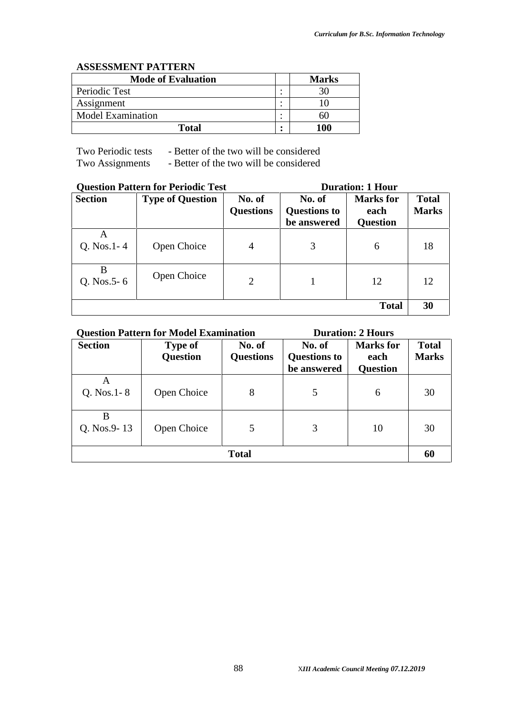#### **ASSESSMENT PATTERN**

| <b>Mode of Evaluation</b> | <b>Marks</b> |
|---------------------------|--------------|
| Periodic Test             |              |
| Assignment                |              |
| <b>Model Examination</b>  | าเม          |
| Total                     | 100          |

Two Periodic tests - Better of the two will be considered

Two Assignments - Better of the two will be considered

|                      | <b>Question Pattern for Periodic Test</b> | <b>Duration: 1 Hour</b>    |                                              |                                             |                              |
|----------------------|-------------------------------------------|----------------------------|----------------------------------------------|---------------------------------------------|------------------------------|
| <b>Section</b>       | <b>Type of Question</b>                   | No. of<br><b>Questions</b> | No. of<br><b>Questions to</b><br>be answered | <b>Marks</b> for<br>each<br><b>Question</b> | <b>Total</b><br><b>Marks</b> |
| A<br>$Q. Nos. 1 - 4$ | Open Choice                               | $\overline{4}$             | 3                                            | 6                                           | 18                           |
| B<br>Q. Nos. $5 - 6$ | Open Choice                               | $\overline{2}$             |                                              | 12                                          | 12                           |
|                      |                                           |                            |                                              | <b>Total</b>                                | 30                           |

| <b>Question Pattern for Model Examination</b><br><b>Duration: 2 Hours</b> |                                   |                            |                                              |                                             |                              |  |
|---------------------------------------------------------------------------|-----------------------------------|----------------------------|----------------------------------------------|---------------------------------------------|------------------------------|--|
| <b>Section</b>                                                            | <b>Type of</b><br><b>Question</b> | No. of<br><b>Questions</b> | No. of<br><b>Questions to</b><br>be answered | <b>Marks</b> for<br>each<br><b>Question</b> | <b>Total</b><br><b>Marks</b> |  |
| Α<br>$Q.$ Nos. 1 - 8                                                      | Open Choice                       | 8                          | 5                                            | 6                                           | 30                           |  |
| B<br>Q. Nos.9-13                                                          | Open Choice                       | 5                          | 3                                            | 10                                          | 30                           |  |
| <b>Total</b>                                                              |                                   |                            |                                              |                                             |                              |  |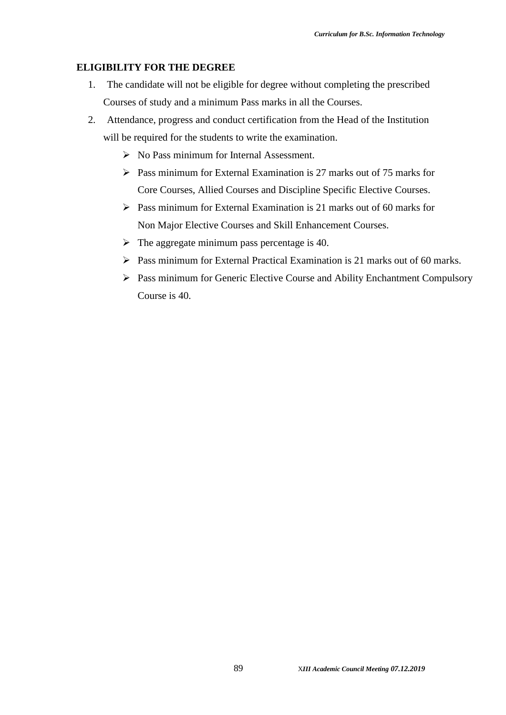### **ELIGIBILITY FOR THE DEGREE**

- 1. The candidate will not be eligible for degree without completing the prescribed Courses of study and a minimum Pass marks in all the Courses.
- 2. Attendance, progress and conduct certification from the Head of the Institution will be required for the students to write the examination.
	- $\triangleright$  No Pass minimum for Internal Assessment.
	- $\triangleright$  Pass minimum for External Examination is 27 marks out of 75 marks for Core Courses, Allied Courses and Discipline Specific Elective Courses.
	- $\triangleright$  Pass minimum for External Examination is 21 marks out of 60 marks for Non Major Elective Courses and Skill Enhancement Courses.
	- $\triangleright$  The aggregate minimum pass percentage is 40.
	- Pass minimum for External Practical Examination is 21 marks out of 60 marks.
	- Pass minimum for Generic Elective Course and Ability Enchantment Compulsory Course is 40.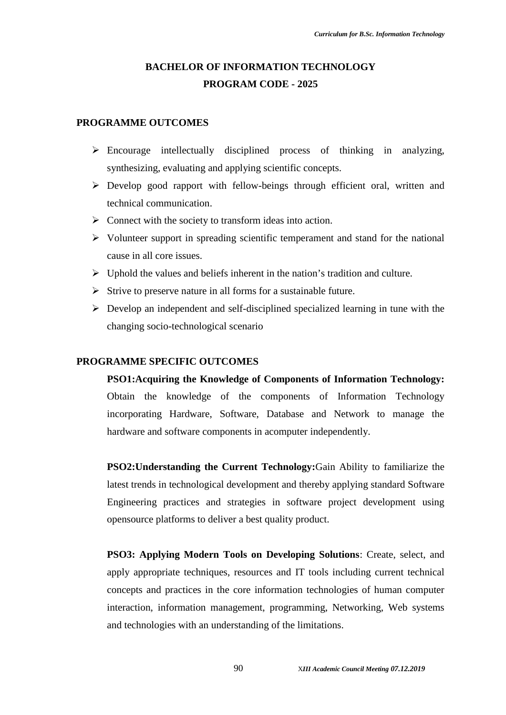## **BACHELOR OF INFORMATION TECHNOLOGY PROGRAM CODE - 2025**

#### **PROGRAMME OUTCOMES**

- $\triangleright$  Encourage intellectually disciplined process of thinking in analyzing, synthesizing, evaluating and applying scientific concepts.
- Develop good rapport with fellow-beings through efficient oral, written and technical communication.
- $\triangleright$  Connect with the society to transform ideas into action.
- $\triangleright$  Volunteer support in spreading scientific temperament and stand for the national cause in all core issues.
- $\triangleright$  Uphold the values and beliefs inherent in the nation's tradition and culture.
- $\triangleright$  Strive to preserve nature in all forms for a sustainable future.
- $\triangleright$  Develop an independent and self-disciplined specialized learning in tune with the changing socio-technological scenario

#### **PROGRAMME SPECIFIC OUTCOMES**

**PSO1:Acquiring the Knowledge of Components of Information Technology:** Obtain the knowledge of the components of Information Technology incorporating Hardware, Software, Database and Network to manage the hardware and software components in acomputer independently.

**PSO2:Understanding the Current Technology:**Gain Ability to familiarize the latest trends in technological development and thereby applying standard Software Engineering practices and strategies in software project development using opensource platforms to deliver a best quality product.

**PSO3: Applying Modern Tools on Developing Solutions**: Create, select, and apply appropriate techniques, resources and IT tools including current technical concepts and practices in the core information technologies of human computer interaction, information management, programming, Networking, Web systems and technologies with an understanding of the limitations.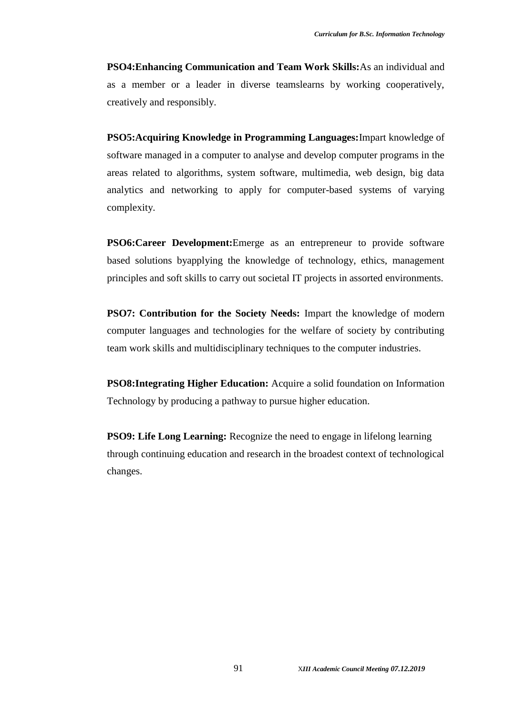**PSO4:Enhancing Communication and Team Work Skills:**As an individual and as a member or a leader in diverse teamslearns by working cooperatively, creatively and responsibly.

**PSO5:Acquiring Knowledge in Programming Languages:**Impart knowledge of software managed in a computer to analyse and develop computer programs in the areas related to algorithms, system software, multimedia, web design, big data analytics and networking to apply for computer-based systems of varying complexity.

**PSO6:Career Development:**Emerge as an entrepreneur to provide software based solutions byapplying the knowledge of technology, ethics, management principles and soft skills to carry out societal IT projects in assorted environments.

**PSO7: Contribution for the Society Needs:** Impart the knowledge of modern computer languages and technologies for the welfare of society by contributing team work skills and multidisciplinary techniques to the computer industries.

**PSO8:Integrating Higher Education:** Acquire a solid foundation on Information Technology by producing a pathway to pursue higher education.

**PSO9: Life Long Learning:** Recognize the need to engage in lifelong learning through continuing education and research in the broadest context of technological changes.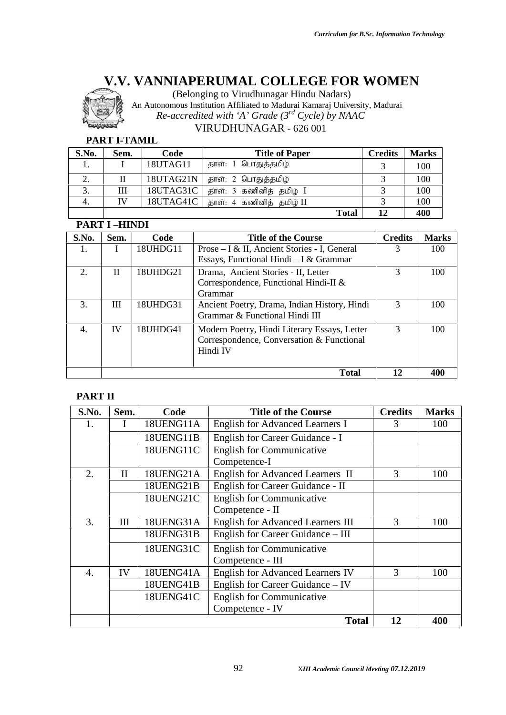

(Belonging to Virudhunagar Hindu Nadars)

An Autonomous Institution Affiliated to Madurai Kamaraj University, Madurai *Re-accredited with 'A' Grade (3rd Cycle) by NAAC* VIRUDHUNAGAR - 626 001

### **PART I-TAMIL**

| S.No. | Sem. | Code      | <b>Title of Paper</b>                  | <b>Credits</b> | <b>Marks</b> |
|-------|------|-----------|----------------------------------------|----------------|--------------|
| .,    |      | 18UTAG11  | தாள்: 1 பொதுத்தமிழ்                    |                | 100          |
| ۷.    |      | 18UTAG21N | தாள்: 2 பொதுத்தமிழ்                    |                | 100          |
| 3.    | Ш    | 18UTAG31C | தாள்: 3 கணினித் தமிழ் I                |                | 100          |
| 4.    | IV   |           | $18UTAG41C$   தாள்: 4 கணினித் தமிழ் II |                | 100          |
|       |      |           | <b>Total</b>                           | 12             | 400          |

### **PART I –HINDI**

| S.No. | Sem.      | Code     | <b>Title of the Course</b>                                                                            | <b>Credits</b> | <b>Marks</b> |
|-------|-----------|----------|-------------------------------------------------------------------------------------------------------|----------------|--------------|
| Ι.    |           | 18UHDG11 | Prose – I & II, Ancient Stories - I, General<br>Essays, Functional Hindi $-I & Grammar$               | 3              | 100          |
| 2.    | П         | 18UHDG21 | Drama, Ancient Stories - II, Letter<br>Correspondence, Functional Hindi-II &<br>Grammar               |                | 100          |
| 3.    | Ш         | 18UHDG31 | Ancient Poetry, Drama, Indian History, Hindi<br>Grammar & Functional Hindi III                        | 3              | 100          |
| 4.    | <b>IV</b> | 18UHDG41 | Modern Poetry, Hindi Literary Essays, Letter<br>Correspondence, Conversation & Functional<br>Hindi IV | 3              | 100          |
|       |           |          | <b>Total</b>                                                                                          | 12             | 400          |

### **PART II**

| S.No.            | Sem.         | Code      | <b>Title of the Course</b>               | <b>Credits</b> | <b>Marks</b> |
|------------------|--------------|-----------|------------------------------------------|----------------|--------------|
|                  |              | 18UENG11A | <b>English for Advanced Learners I</b>   | 3              | 100          |
|                  |              | 18UENG11B | English for Career Guidance - I          |                |              |
|                  |              | 18UENG11C | <b>English for Communicative</b>         |                |              |
|                  |              |           | Competence-I                             |                |              |
| 2.               | $\mathbf{I}$ | 18UENG21A | <b>English for Advanced Learners II</b>  | 3              | 100          |
|                  |              | 18UENG21B | English for Career Guidance - II         |                |              |
|                  |              | 18UENG21C | <b>English for Communicative</b>         |                |              |
|                  |              |           | Competence - II                          |                |              |
| 3.               | III          | 18UENG31A | <b>English for Advanced Learners III</b> | 3              | 100          |
|                  |              | 18UENG31B | English for Career Guidance – III        |                |              |
|                  |              | 18UENG31C | <b>English for Communicative</b>         |                |              |
|                  |              |           | Competence - III                         |                |              |
| $\overline{4}$ . | IV           | 18UENG41A | <b>English for Advanced Learners IV</b>  | 3              | 100          |
|                  |              | 18UENG41B | English for Career Guidance - IV         |                |              |
|                  |              | 18UENG41C | <b>English for Communicative</b>         |                |              |
|                  |              |           | Competence - IV                          |                |              |
|                  |              |           | <b>Total</b>                             | 12             | 400          |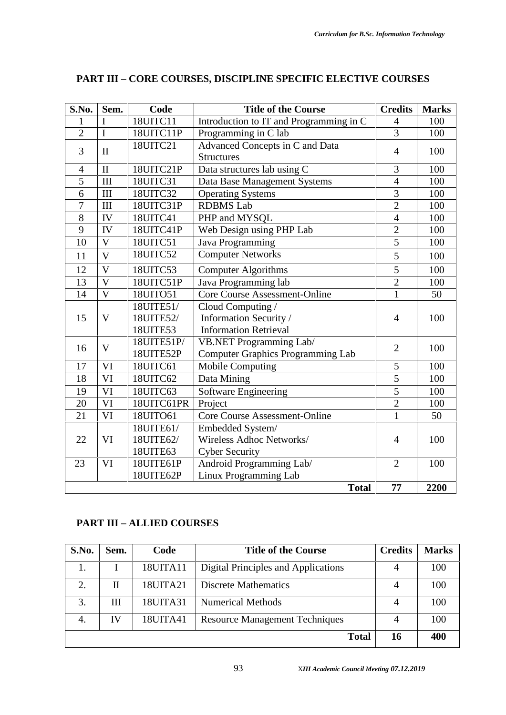| S.No.          | Sem.                    | Code                               | <b>Title of the Course</b>                                                  | <b>Credits</b> | <b>Marks</b> |
|----------------|-------------------------|------------------------------------|-----------------------------------------------------------------------------|----------------|--------------|
| 1              |                         | 18UITC11                           | Introduction to IT and Programming in C                                     | $\overline{4}$ | 100          |
| $\overline{2}$ | $\mathbf I$             | 18UITC11P                          | Programming in C lab                                                        | $\overline{3}$ | 100          |
| 3              | $\mathbf{I}$            | 18UITC21                           | Advanced Concepts in C and Data<br><b>Structures</b>                        | $\overline{4}$ | 100          |
| 4              | $\mathbf{I}$            | 18UITC21P                          | Data structures lab using C                                                 | 3              | 100          |
| $\overline{5}$ | III                     | 18UITC31                           | Data Base Management Systems                                                | $\overline{4}$ | 100          |
| 6              | III                     | 18UITC32                           | <b>Operating Systems</b>                                                    | $\overline{3}$ | 100          |
| $\overline{7}$ | III                     | 18UITC31P                          | <b>RDBMS</b> Lab                                                            | $\overline{2}$ | 100          |
| 8              | IV                      | 18UITC41                           | PHP and MYSQL                                                               | $\overline{4}$ | 100          |
| 9              | IV                      | 18UITC41P                          | Web Design using PHP Lab                                                    | $\overline{2}$ | 100          |
| 10             | $\mathbf{V}$            | 18UITC51                           | Java Programming                                                            | $\overline{5}$ | 100          |
| 11             | $\overline{V}$          | 18UITC52                           | <b>Computer Networks</b>                                                    | 5              | 100          |
| 12             | $\overline{\mathbf{V}}$ | 18UITC53                           | <b>Computer Algorithms</b>                                                  | 5              | 100          |
| 13             | $\overline{V}$          | 18UITC51P                          | Java Programming lab                                                        | $\overline{2}$ | 100          |
| 14             | $\overline{V}$          | 18UITO51                           | <b>Core Course Assessment-Online</b>                                        | $\mathbf{1}$   | 50           |
| 15             | $\mathbf V$             | 18UITE51/<br>18UITE52/<br>18UITE53 | Cloud Computing /<br>Information Security /<br><b>Information Retrieval</b> | $\overline{4}$ | 100          |
| 16             | $\mathbf V$             | 18UITE51P/<br>18UITE52P            | VB.NET Programming Lab/<br><b>Computer Graphics Programming Lab</b>         | $\overline{2}$ | 100          |
| 17             | VI                      | 18UITC61                           | <b>Mobile Computing</b>                                                     | 5              | 100          |
| 18             | VI                      | 18UITC62                           | Data Mining                                                                 | 5              | 100          |
| 19             | VI                      | 18UITC63                           | <b>Software Engineering</b>                                                 | $\overline{5}$ | 100          |
| 20             | VI                      | 18UITC61PR                         | Project                                                                     | $\overline{2}$ | 100          |
| 21             | VI                      | 18UITO61                           | <b>Core Course Assessment-Online</b>                                        | $\mathbf{1}$   | 50           |
|                |                         | 18UITE61/                          | Embedded System/                                                            |                |              |
| 22             | VI                      | 18UITE62/<br>18UITE63              | Wireless Adhoc Networks/<br><b>Cyber Security</b>                           | $\overline{4}$ | 100          |
| 23             | VI                      | 18UITE61P<br>18UITE62P             | Android Programming Lab/<br>Linux Programming Lab                           | $\overline{2}$ | 100          |
|                |                         |                                    | <b>Total</b>                                                                | 77             | 2200         |
|                |                         |                                    |                                                                             |                |              |

### **PART III – CORE COURSES, DISCIPLINE SPECIFIC ELECTIVE COURSES**

### **PART III – ALLIED COURSES**

| S.No. | Sem. | Code     | <b>Title of the Course</b>            | <b>Credits</b> | <b>Marks</b> |
|-------|------|----------|---------------------------------------|----------------|--------------|
| 1.    |      | 18UITA11 | Digital Principles and Applications   | 4              | 100          |
| 2.    | П    | 18UITA21 | <b>Discrete Mathematics</b>           |                | 100          |
| 3.    | Ш    | 18UITA31 | Numerical Methods                     |                | 100          |
| 4.    | IV   | 18UITA41 | <b>Resource Management Techniques</b> |                | 100          |
|       |      |          | <b>Total</b>                          | 16             | 400          |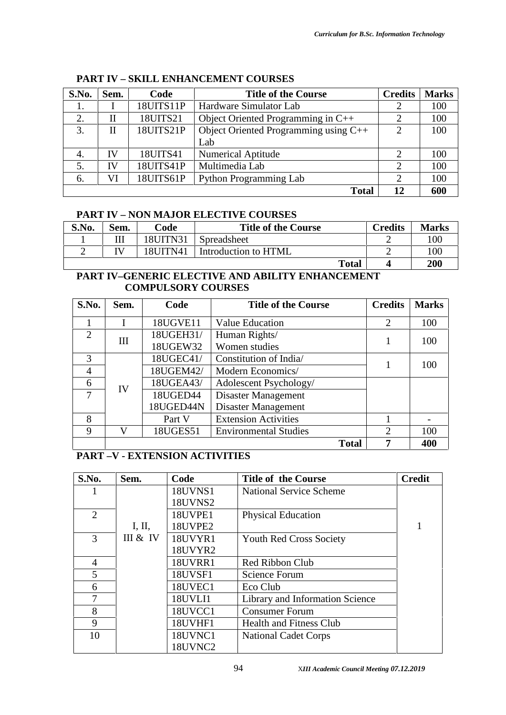| S.No. | Sem. | Code      | <b>Credits</b><br><b>Title of the Course</b> |                |     |
|-------|------|-----------|----------------------------------------------|----------------|-----|
| 1.    |      | 18UITS11P | Hardware Simulator Lab                       |                | 100 |
| 2.    | П    | 18UITS21  | Object Oriented Programming in $C++$         |                | 100 |
| 3.    | П    | 18UITS21P | Object Oriented Programming using C++        | $\overline{2}$ | 100 |
|       |      |           | Lab                                          |                |     |
| 4.    | IV   | 18UITS41  | <b>Numerical Aptitude</b>                    |                | 100 |
| 5.    | IV   | 18UITS41P | Multimedia Lab                               | 2              | 100 |
| 6.    | VI   | 18UITS61P | <b>Python Programming Lab</b>                | 2              | 100 |
|       |      |           | <b>Total</b>                                 | 12             | 600 |

#### **PART IV – SKILL ENHANCEMENT COURSES**

### **PART IV – NON MAJOR ELECTIVE COURSES**

| S.No. | Sem. | Code     | <b>Title of the Course</b> | Credits | <b>Marks</b> |
|-------|------|----------|----------------------------|---------|--------------|
|       | Ш    | 18UITN31 | Spreadsheet                |         | 100          |
|       |      | 18UITN41 | Introduction to HTML       |         | 100          |
|       |      |          | <b>Total</b>               |         | 200          |

### **PART IV–GENERIC ELECTIVE AND ABILITY ENHANCEMENT COMPULSORY COURSES**

| S.No.          | Sem. | Code      | <b>Title of the Course</b>   | <b>Credits</b> | <b>Marks</b> |
|----------------|------|-----------|------------------------------|----------------|--------------|
|                |      | 18UGVE11  | Value Education              | 2              | 100          |
| $\overline{2}$ | III  | 18UGEH31/ | Human Rights/                |                | 100          |
|                |      | 18UGEW32  | Women studies                |                |              |
| 3              |      | 18UGEC41/ | Constitution of India        |                | 100          |
| 4              |      | 18UGEM42/ | Modern Economics/            |                |              |
| 6              | IV   | 18UGEA43/ | Adolescent Psychology/       |                |              |
| 7              |      | 18UGED44  | Disaster Management          |                |              |
|                |      | 18UGED44N | Disaster Management          |                |              |
| 8              |      | Part V    | <b>Extension Activities</b>  |                |              |
| 9              | V    | 18UGES51  | <b>Environmental Studies</b> | $\bigcirc$     | 100          |
|                |      |           | <b>Total</b>                 |                | 400          |

### **PART –V - EXTENSION ACTIVITIES**

| S.No.          | Sem.     | Code           | <b>Title of the Course</b>      | <b>Credit</b> |
|----------------|----------|----------------|---------------------------------|---------------|
| 1              |          | <b>18UVNS1</b> | <b>National Service Scheme</b>  |               |
|                |          | 18UVNS2        |                                 |               |
| $\overline{2}$ |          | 18UVPE1        | <b>Physical Education</b>       |               |
|                | I, II,   | 18UVPE2        |                                 |               |
| 3              | III & IV | 18UVYR1        | <b>Youth Red Cross Society</b>  |               |
|                |          | 18UVYR2        |                                 |               |
| $\overline{4}$ |          | 18UVRR1        | Red Ribbon Club                 |               |
| 5              |          | <b>18UVSF1</b> | <b>Science Forum</b>            |               |
| 6              |          | 18UVEC1        | Eco Club                        |               |
| 7              |          | 18UVLI1        | Library and Information Science |               |
| 8              |          | 18UVCC1        | <b>Consumer Forum</b>           |               |
| 9              |          | 18UVHF1        | <b>Health and Fitness Club</b>  |               |
| 10             |          | 18UVNC1        | <b>National Cadet Corps</b>     |               |
|                |          | 18UVNC2        |                                 |               |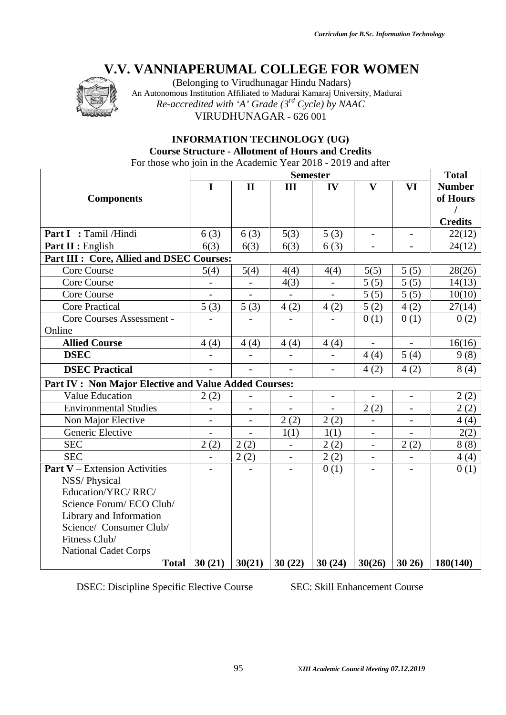

(Belonging to Virudhunagar Hindu Nadars) An Autonomous Institution Affiliated to Madurai Kamaraj University, Madurai *Re-accredited with 'A' Grade (3rd Cycle) by NAAC* VIRUDHUNAGAR - 626 001

### **INFORMATION TECHNOLOGY (UG) Course Structure - Allotment of Hours and Credits**

For those who join in the Academic Year 2018 - 2019 and after

|                                                       |                | <b>Total</b>   |                          |                          |                          |                          |                           |
|-------------------------------------------------------|----------------|----------------|--------------------------|--------------------------|--------------------------|--------------------------|---------------------------|
| <b>Components</b>                                     | I              | $\mathbf{I}$   | Ш                        | IV                       | $\mathbf{V}$             | VI                       | <b>Number</b><br>of Hours |
|                                                       |                |                |                          |                          |                          |                          | <b>Credits</b>            |
| Part I : Tamil /Hindi                                 | 6(3)           | 6(3)           | 5(3)                     | 5(3)                     | $\overline{a}$           |                          | 22(12)                    |
| Part II : English                                     | 6(3)           | 6(3)           | 6(3)                     | 6(3)                     |                          |                          | 24(12)                    |
| Part III : Core, Allied and DSEC Courses:             |                |                |                          |                          |                          |                          |                           |
| <b>Core Course</b>                                    | 5(4)           | 5(4)           | 4(4)                     | 4(4)                     | 5(5)                     | 5(5)                     | 28(26)                    |
| Core Course                                           |                |                | 4(3)                     |                          | 5(5)                     | 5(5)                     | 14(13)                    |
| <b>Core Course</b>                                    |                |                |                          | $\overline{a}$           | 5(5)                     | 5(5)                     | 10(10)                    |
| <b>Core Practical</b>                                 | 5(3)           | 5(3)           | 4(2)                     | 4(2)                     | 5(2)                     | 4(2)                     | 27(14)                    |
| Core Courses Assessment -<br>Online                   |                |                |                          |                          | 0(1)                     | 0(1)                     | 0(2)                      |
| <b>Allied Course</b>                                  | 4(4)           | 4(4)           | 4(4)                     | 4(4)                     | $\overline{\phantom{a}}$ | $\overline{\phantom{a}}$ | 16(16)                    |
| <b>DSEC</b>                                           | $\overline{a}$ |                |                          | $\overline{a}$           | 4(4)                     | 5(4)                     | 9(8)                      |
| <b>DSEC Practical</b>                                 | $\overline{a}$ | $\overline{a}$ | $\overline{a}$           | $\overline{a}$           | 4(2)                     | 4(2)                     | 8(4)                      |
| Part IV : Non Major Elective and Value Added Courses: |                |                |                          |                          |                          |                          |                           |
| <b>Value Education</b>                                | 2(2)           |                | $\overline{\phantom{a}}$ | $\overline{\phantom{a}}$ | $\overline{\phantom{a}}$ | $\overline{\phantom{a}}$ | 2(2)                      |
| <b>Environmental Studies</b>                          |                |                |                          |                          | 2(2)                     |                          | 2(2)                      |
| Non Major Elective                                    | $\overline{a}$ |                | 2(2)                     | 2(2)                     |                          |                          | 4(4)                      |
| Generic Elective                                      |                |                | 1(1)                     | 1(1)                     | $\overline{\phantom{0}}$ |                          | 2(2)                      |
| <b>SEC</b>                                            | 2(2)           | 2(2)           | $\blacksquare$           | 2(2)                     | $\overline{\phantom{a}}$ | 2(2)                     | 8(8)                      |
| <b>SEC</b>                                            | $\overline{a}$ | 2(2)           | $\overline{\phantom{a}}$ | 2(2)                     | $\overline{\phantom{0}}$ |                          | 4(4)                      |
| <b>Part V</b> – Extension Activities                  |                |                |                          | 0(1)                     |                          |                          | 0(1)                      |
| NSS/Physical<br>Education/YRC/RRC/                    |                |                |                          |                          |                          |                          |                           |
|                                                       |                |                |                          |                          |                          |                          |                           |
| Science Forum/ECO Club/                               |                |                |                          |                          |                          |                          |                           |
| Library and Information                               |                |                |                          |                          |                          |                          |                           |
| Science/ Consumer Club/                               |                |                |                          |                          |                          |                          |                           |
| Fitness Club/                                         |                |                |                          |                          |                          |                          |                           |
| <b>National Cadet Corps</b>                           |                |                |                          |                          |                          |                          |                           |
| <b>Total</b>                                          | 30(21)         | 30(21)         | 30(22)                   | 30(24)                   | 30(26)                   | 30 26)                   | 180(140)                  |

DSEC: Discipline Specific Elective Course SEC: Skill Enhancement Course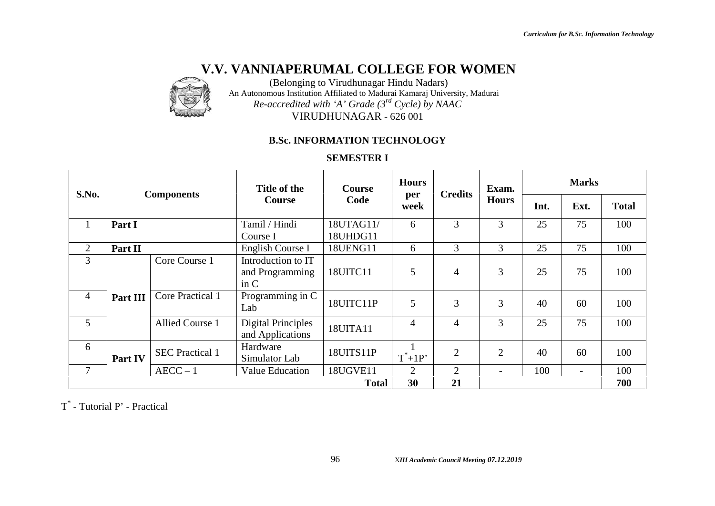

(Belonging to Virudhunagar Hindu Nadars) An Autonomous Institution Affiliated to Madurai Kamaraj University, Madurai *Re-accredited with 'A' Grade (3rd Cycle) by NAAC* VIRUDHUNAGAR - 626 001

### **B.Sc. INFORMATION TECHNOLOGY**

### **SEMESTER I**

| S.No.          |          | <b>Components</b>      | Title of the                                  | <b>Course</b>         | <b>Hours</b> | <b>Credits</b> | Exam.                    | <b>Marks</b> |                          |              |
|----------------|----------|------------------------|-----------------------------------------------|-----------------------|--------------|----------------|--------------------------|--------------|--------------------------|--------------|
|                |          |                        | <b>Course</b>                                 | Code                  | per<br>week  |                | <b>Hours</b>             | Int.         | Ext.                     | <b>Total</b> |
| $\mathbf{1}$   | Part I   |                        | Tamil / Hindi<br>Course I                     | 18UTAG11/<br>18UHDG11 | 6            | 3              | $\overline{3}$           | 25           | 75                       | 100          |
| 2              | Part II  |                        | English Course I                              | 18UENG11              | 6            | 3              | 3                        | 25           | 75                       | 100          |
| 3              |          | Core Course 1          | Introduction to IT<br>and Programming<br>in C | 18UITC11              | 5            | $\overline{4}$ | 3                        | 25           | 75                       | 100          |
| $\overline{4}$ | Part III | Core Practical 1       | Programming in C<br>Lab                       | 18UITC11P             | 5            | 3              | 3                        | 40           | 60                       | 100          |
| $\overline{5}$ |          | <b>Allied Course 1</b> | <b>Digital Principles</b><br>and Applications | 18UITA11              | 4            | $\overline{4}$ | 3                        | 25           | 75                       | 100          |
| 6              | Part IV  | <b>SEC Practical 1</b> | Hardware<br>Simulator Lab                     | 18UITS11P             | $T^*+1P'$    | $\overline{2}$ | $\overline{2}$           | 40           | 60                       | 100          |
| $\tau$         |          | $AECC - 1$             | Value Education                               | 18UGVE11              | 2            | 2              | $\overline{\phantom{0}}$ | 100          | $\overline{\phantom{0}}$ | 100          |
|                |          |                        |                                               | <b>Total</b>          | 30           | 21             |                          |              |                          | 700          |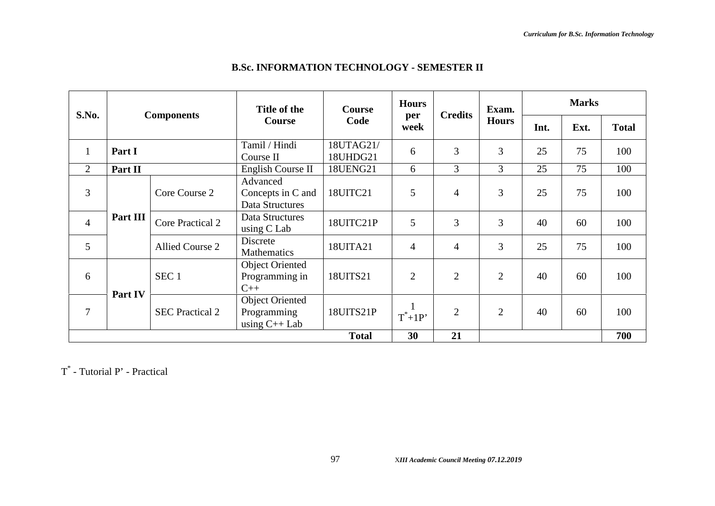| S.No.          |          |                         | Title of the                                             | <b>Course</b>         | <b>Hours</b><br>per | <b>Credits</b> | Exam.          | <b>Marks</b> |                                    |              |
|----------------|----------|-------------------------|----------------------------------------------------------|-----------------------|---------------------|----------------|----------------|--------------|------------------------------------|--------------|
|                |          | <b>Components</b>       | <b>Course</b>                                            | Code                  | week                |                | <b>Hours</b>   | Int.         | Ext.<br>75<br>75<br>75<br>60<br>75 | <b>Total</b> |
| $\mathbf{1}$   | Part I   |                         | Tamil / Hindi<br>Course II                               | 18UTAG21/<br>18UHDG21 | 6                   | 3              | $\overline{3}$ | 25           |                                    | 100          |
| $\overline{2}$ | Part II  |                         | English Course II                                        | <b>18UENG21</b>       | 6                   | 3              | $\overline{3}$ | 25           |                                    | 100          |
| 3              |          | Core Course 2           | Advanced<br>Concepts in C and<br>Data Structures         | 18UITC21              | 5                   | $\overline{4}$ | 3              | 25           |                                    | 100          |
| $\overline{4}$ | Part III | <b>Core Practical 2</b> | Data Structures<br>using $C$ Lab                         | 18UITC21P             | 5                   | 3              | 3              | 40           |                                    | 100          |
| 5              |          | <b>Allied Course 2</b>  | Discrete<br><b>Mathematics</b>                           | 18UITA21              | $\overline{4}$      | $\overline{4}$ | 3              | 25           |                                    | 100          |
| 6              |          | SEC <sub>1</sub>        | <b>Object Oriented</b><br>Programming in<br>$C++$        | 18UITS21              | $\overline{2}$      | $\overline{2}$ | $\overline{2}$ | 40           | 60                                 | 100          |
| 7              | Part IV  | <b>SEC Practical 2</b>  | <b>Object Oriented</b><br>Programming<br>using $C++$ Lab | 18UITS21P             | $T^*+1P'$           | $\overline{2}$ | $\overline{2}$ | 40           | 60                                 | 100          |
|                |          |                         |                                                          | <b>Total</b>          | 30                  | 21             |                |              |                                    | 700          |

### **B.Sc. INFORMATION TECHNOLOGY - SEMESTER II**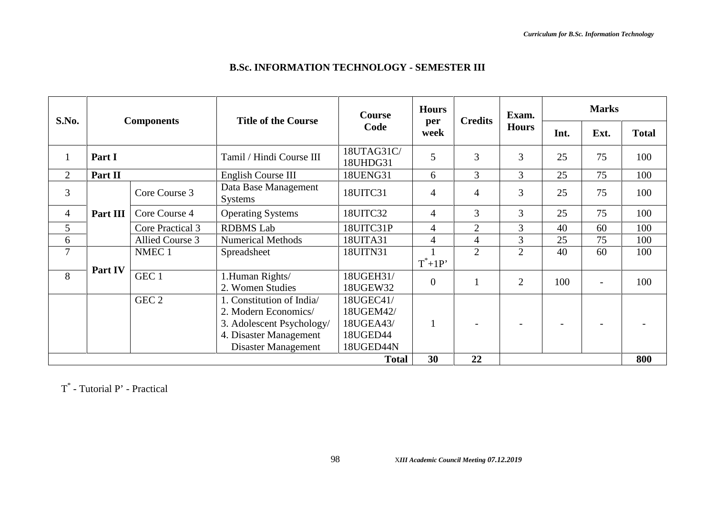|                                                                                                                                                                                                                                                                                                                                                                       |  |                           | <b>Course</b>          | <b>Hours</b><br>per | <b>Credits</b> | Exam.          | <b>Marks</b> |                          |     |
|-----------------------------------------------------------------------------------------------------------------------------------------------------------------------------------------------------------------------------------------------------------------------------------------------------------------------------------------------------------------------|--|---------------------------|------------------------|---------------------|----------------|----------------|--------------|--------------------------|-----|
| S.No.<br><b>Title of the Course</b><br><b>Components</b><br>Part I<br>$\overline{2}$<br>Part II<br>3<br>Core Course 3<br><b>Systems</b><br>$\overline{4}$<br>Core Course 4<br>Part III<br>5<br><b>RDBMS</b> Lab<br>Core Practical 3<br>6<br>Allied Course 3<br>7<br>NMEC <sub>1</sub><br>Spreadsheet<br>Part IV<br>8<br>GEC 1<br>2. Women Studies<br>GEC <sub>2</sub> |  | Code                      | week                   |                     | <b>Hours</b>   | Int.           | Ext.         | <b>Total</b>             |     |
|                                                                                                                                                                                                                                                                                                                                                                       |  | Tamil / Hindi Course III  | 18UTAG31C/<br>18UHDG31 | 5                   | $\overline{3}$ | 3              | 25           | 75                       | 100 |
|                                                                                                                                                                                                                                                                                                                                                                       |  | English Course III        | 18UENG31               | 6                   | $\overline{3}$ | $\overline{3}$ | 25           | 75                       | 100 |
|                                                                                                                                                                                                                                                                                                                                                                       |  | Data Base Management      | 18UITC31               | $\overline{4}$      | 4              | 3              | 25           | 75                       | 100 |
|                                                                                                                                                                                                                                                                                                                                                                       |  | <b>Operating Systems</b>  | 18UITC32               | $\overline{4}$      | 3              | 3              | 25           | 75                       | 100 |
|                                                                                                                                                                                                                                                                                                                                                                       |  |                           | 18UITC31P              | $\overline{4}$      | $\overline{2}$ | 3              | 40           | 60                       | 100 |
|                                                                                                                                                                                                                                                                                                                                                                       |  | <b>Numerical Methods</b>  | 18UITA31               | $\overline{4}$      | $\overline{4}$ | 3              | 25           | 75                       | 100 |
|                                                                                                                                                                                                                                                                                                                                                                       |  |                           | 18UITN31               |                     | $\overline{2}$ | $\overline{2}$ | 40           | 60                       | 100 |
|                                                                                                                                                                                                                                                                                                                                                                       |  |                           |                        | $T^*+1P'$           |                |                |              |                          |     |
|                                                                                                                                                                                                                                                                                                                                                                       |  | 1.Human Rights/           | 18UGEH31/<br>18UGEW32  | $\overline{0}$      |                | $\overline{2}$ | 100          | $\overline{\phantom{0}}$ | 100 |
|                                                                                                                                                                                                                                                                                                                                                                       |  | 1. Constitution of India/ | 18UGEC41/              |                     |                |                |              |                          |     |
|                                                                                                                                                                                                                                                                                                                                                                       |  | 2. Modern Economics/      | 18UGEM42/              |                     |                |                |              |                          |     |
|                                                                                                                                                                                                                                                                                                                                                                       |  | 3. Adolescent Psychology/ | 18UGEA43/              |                     |                |                |              |                          |     |
|                                                                                                                                                                                                                                                                                                                                                                       |  | 4. Disaster Management    | 18UGED44               |                     |                |                |              |                          |     |
|                                                                                                                                                                                                                                                                                                                                                                       |  | Disaster Management       | 18UGED44N              |                     |                |                |              |                          |     |
|                                                                                                                                                                                                                                                                                                                                                                       |  |                           | <b>Total</b>           | 30                  | 22             |                |              |                          | 800 |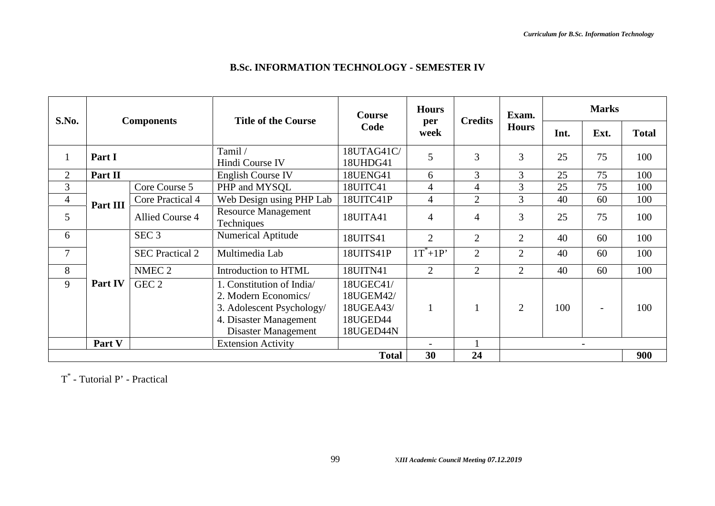|                |          |                        |                                          | <b>Course</b>          | <b>Hours</b>   | <b>Credits</b> | Exam.          | <b>Marks</b> |                          |              |
|----------------|----------|------------------------|------------------------------------------|------------------------|----------------|----------------|----------------|--------------|--------------------------|--------------|
| <b>S.No.</b>   |          | <b>Components</b>      | <b>Title of the Course</b>               | Code                   | per<br>week    |                | <b>Hours</b>   | Int.         | Ext.                     | <b>Total</b> |
|                | Part I   |                        | Tamil /<br>Hindi Course IV               | 18UTAG41C/<br>18UHDG41 | 5              | $\overline{3}$ | $\overline{3}$ | 25           | 75                       | 100          |
| $\overline{2}$ | Part II  |                        | <b>English Course IV</b>                 | 18UENG41               | 6              | $\overline{3}$ | 3              | 25           | 75                       | 100          |
| 3              |          | Core Course 5          | PHP and MYSQL                            | 18UITC41               | 4              | $\overline{4}$ | 3              | 25           | 75                       | 100          |
| $\overline{4}$ |          | Core Practical 4       | Web Design using PHP Lab                 | 18UITC41P              | $\overline{4}$ | $\overline{2}$ | 3              | 40           | 60                       | 100          |
| 5              | Part III | Allied Course 4        | <b>Resource Management</b><br>Techniques | 18UITA41               | $\overline{4}$ | $\overline{4}$ | 3              | 25           | 75                       | 100          |
| 6              |          | SEC <sub>3</sub>       | <b>Numerical Aptitude</b>                | 18UITS41               | $\overline{2}$ | $\overline{2}$ | $\overline{2}$ | 40           | 60                       | 100          |
| $\overline{7}$ |          | <b>SEC Practical 2</b> | Multimedia Lab                           | 18UITS41P              | $1T^*+1P'$     | $\overline{2}$ | $\overline{2}$ | 40           | 60                       | 100          |
| 8              |          | NMEC <sub>2</sub>      | Introduction to HTML                     | 18UITN41               | 2              | $\overline{2}$ | $\overline{2}$ | 40           | 60                       | 100          |
| 9              | Part IV  | GEC <sub>2</sub>       | 1. Constitution of India                 | 18UGEC41/              |                |                |                |              |                          |              |
|                |          |                        | 2. Modern Economics/                     | 18UGEM42/              |                |                |                |              |                          |              |
|                |          |                        | 3. Adolescent Psychology/                | 18UGEA43/              | $\mathbf{1}$   |                | 2              | 100          | $\overline{\phantom{0}}$ | 100          |
|                |          |                        | 4. Disaster Management                   | 18UGED44               |                |                |                |              |                          |              |
|                |          |                        | Disaster Management                      | 18UGED44N              |                |                |                |              |                          |              |
|                | Part V   |                        | <b>Extension Activity</b>                |                        |                |                |                |              | $\overline{\phantom{a}}$ |              |
|                |          |                        |                                          | <b>Total</b>           | 30             | 24             |                |              |                          | 900          |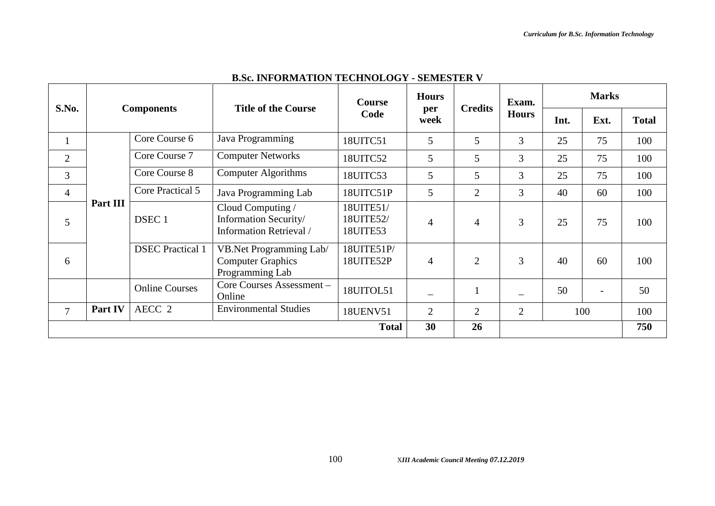|                |          |                         |                                                                              | <b>Course</b>                      | <b>Hours</b>             |                | Exam.          | <b>Marks</b> |                          |              |
|----------------|----------|-------------------------|------------------------------------------------------------------------------|------------------------------------|--------------------------|----------------|----------------|--------------|--------------------------|--------------|
| S.No.          |          | <b>Components</b>       | <b>Title of the Course</b>                                                   | Code                               | per<br>week              | <b>Credits</b> | <b>Hours</b>   | Int.         | Ext.                     | <b>Total</b> |
|                |          | Core Course 6           | Java Programming                                                             | 18UITC51                           | 5                        | 5              | 3              | 25           | 75                       | 100          |
| $\overline{2}$ |          | Core Course 7           | <b>Computer Networks</b>                                                     | 18UITC52                           | 5                        | 5              | 3              | 25           | 75                       | 100          |
| 3              |          | Core Course 8           | <b>Computer Algorithms</b>                                                   | 18UITC53                           | 5                        | 5              | 3              | 25           | 75                       | 100          |
| $\overline{4}$ |          | Core Practical 5        | Java Programming Lab                                                         | 18UITC51P                          | 5                        | $\overline{2}$ | 3              | 40           | 60                       | 100          |
| 5              | Part III | DSEC <sub>1</sub>       | Cloud Computing /<br>Information Security/<br><b>Information Retrieval</b> / | 18UITE51/<br>18UITE52/<br>18UITE53 | $\overline{4}$           | $\overline{4}$ | $\overline{3}$ | 25           | 75                       | 100          |
| 6              |          | <b>DSEC</b> Practical 1 | VB.Net Programming Lab/<br><b>Computer Graphics</b><br>Programming Lab       | 18UITE51P/<br>18UITE52P            | $\overline{4}$           | $\overline{2}$ | 3              | 40           | 60                       | 100          |
|                |          | <b>Online Courses</b>   | Core Courses Assessment-<br>Online                                           | 18UITOL51                          | $\overline{\phantom{0}}$ |                |                | 50           | $\overline{\phantom{0}}$ | 50           |
| $\overline{7}$ | Part IV  | AECC <sub>2</sub>       | <b>Environmental Studies</b>                                                 | <b>18UENV51</b>                    | $\overline{2}$           | $\overline{2}$ | $\overline{2}$ |              | 100                      | 100          |
|                |          |                         |                                                                              | <b>Total</b>                       | 30                       | 26             |                |              |                          | 750          |

### **B.Sc. INFORMATION TECHNOLOGY - SEMESTER V**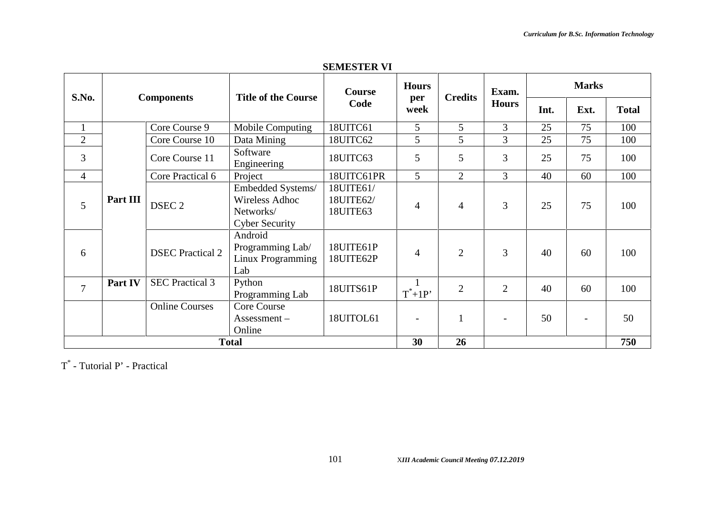| <b>SEMESTER VI</b> |  |
|--------------------|--|
|                    |  |

|                |          |                         | <b>Title of the Course</b>                                                       | <b>Course</b>                      | <b>Hours</b><br>per      | <b>Credits</b> | Exam.          | <b>Marks</b>                                                                                                                    |              |     |
|----------------|----------|-------------------------|----------------------------------------------------------------------------------|------------------------------------|--------------------------|----------------|----------------|---------------------------------------------------------------------------------------------------------------------------------|--------------|-----|
| S.No.          |          | <b>Components</b>       |                                                                                  | Code                               | week                     |                | <b>Hours</b>   | Ext.<br>Int.<br>3<br>25<br>75<br>3<br>25<br>75<br>3<br>25<br>75<br>$\overline{3}$<br>40<br>60<br>3<br>25<br>75<br>3<br>40<br>60 | <b>Total</b> |     |
| $\mathbf{1}$   |          | Core Course 9           | Mobile Computing                                                                 | 18UITC61                           | 5                        | 5              |                |                                                                                                                                 |              | 100 |
| $\overline{2}$ |          | Core Course 10          | Data Mining                                                                      | 18UITC62                           | 5                        | 5              |                |                                                                                                                                 |              | 100 |
| 3              |          | Core Course 11          | Software<br>Engineering                                                          | 18UITC63                           | 5                        | 5              |                |                                                                                                                                 |              | 100 |
| $\overline{4}$ |          | Core Practical 6        | Project                                                                          | 18UITC61PR                         | 5 <sup>5</sup>           | 2              |                |                                                                                                                                 |              | 100 |
| 5              | Part III | DSEC <sub>2</sub>       | Embedded Systems/<br><b>Wireless Adhoc</b><br>Networks/<br><b>Cyber Security</b> | 18UITE61/<br>18UITE62/<br>18UITE63 | $\overline{4}$           | $\overline{4}$ |                |                                                                                                                                 |              | 100 |
| 6              |          | <b>DSEC</b> Practical 2 | Android<br>Programming Lab/<br>Linux Programming<br>Lab                          | 18UITE61P<br>18UITE62P             | $\overline{4}$           | $\overline{2}$ |                |                                                                                                                                 |              | 100 |
| $\overline{7}$ | Part IV  | <b>SEC Practical 3</b>  | Python<br>Programming Lab                                                        | 18UITS61P                          | $T^*+1P'$                | $\overline{2}$ | $\overline{2}$ | 40                                                                                                                              | 60           | 100 |
|                |          | <b>Online Courses</b>   | Core Course<br>Assessment –<br>Online                                            | 18UITOL61                          | $\overline{\phantom{0}}$ | $\mathbf{1}$   |                | 50                                                                                                                              |              | 50  |
|                |          |                         | <b>Total</b>                                                                     |                                    | 30                       | 26             |                |                                                                                                                                 |              | 750 |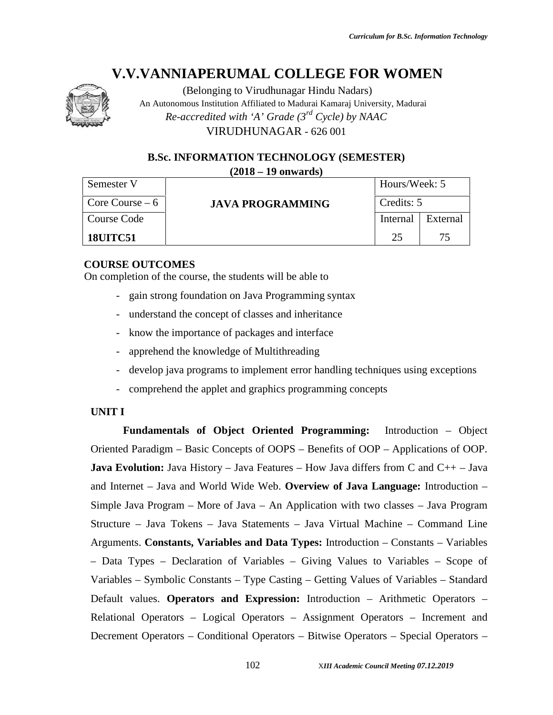

(Belonging to Virudhunagar Hindu Nadars) An Autonomous Institution Affiliated to Madurai Kamaraj University, Madurai *Re-accredited with 'A' Grade (3rd Cycle) by NAAC* VIRUDHUNAGAR - 626 001

**B.Sc. INFORMATION TECHNOLOGY (SEMESTER) (2018 – 19 onwards)**

| Semester V       |                         | Hours/Week: 5 |          |  |
|------------------|-------------------------|---------------|----------|--|
| Core Course $-6$ | <b>JAVA PROGRAMMING</b> | Credits: 5    |          |  |
| Course Code      |                         | Internal      | External |  |
| <b>18UITC51</b>  |                         | 25            | 75       |  |

#### **COURSE OUTCOMES**

On completion of the course, the students will be able to

- gain strong foundation on Java Programming syntax
- understand the concept of classes and inheritance
- know the importance of packages and interface
- apprehend the knowledge of Multithreading
- develop java programs to implement error handling techniques using exceptions
- comprehend the applet and graphics programming concepts

#### **UNIT I**

**Fundamentals of Object Oriented Programming:** Introduction – Object Oriented Paradigm – Basic Concepts of OOPS – Benefits of OOP – Applications of OOP. **Java Evolution:** Java History – Java Features – How Java differs from C and C++ – Java and Internet – Java and World Wide Web. **Overview of Java Language:** Introduction – Simple Java Program – More of Java – An Application with two classes – Java Program Structure – Java Tokens – Java Statements – Java Virtual Machine – Command Line Arguments. **Constants, Variables and Data Types:** Introduction – Constants – Variables – Data Types – Declaration of Variables – Giving Values to Variables – Scope of Variables – Symbolic Constants – Type Casting – Getting Values of Variables – Standard Default values. **Operators and Expression:** Introduction – Arithmetic Operators – Relational Operators – Logical Operators – Assignment Operators – Increment and Decrement Operators – Conditional Operators – Bitwise Operators – Special Operators –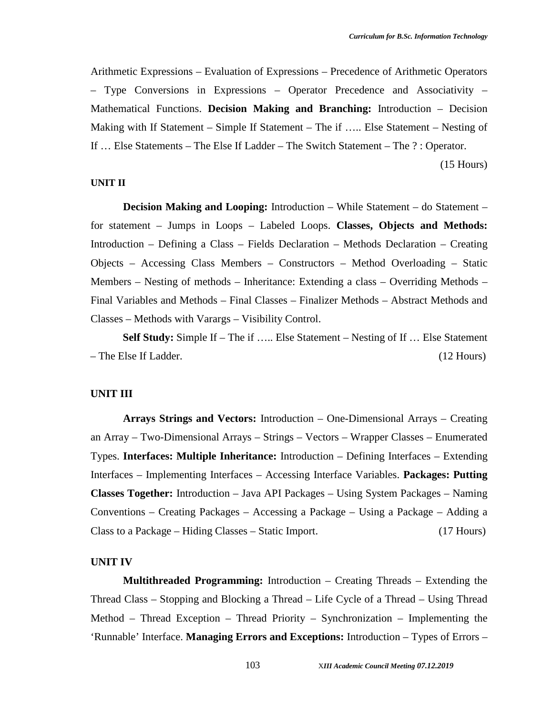Arithmetic Expressions – Evaluation of Expressions – Precedence of Arithmetic Operators – Type Conversions in Expressions – Operator Precedence and Associativity – Mathematical Functions. **Decision Making and Branching:** Introduction – Decision Making with If Statement – Simple If Statement – The if ….. Else Statement – Nesting of If … Else Statements – The Else If Ladder – The Switch Statement – The ? : Operator.

(15 Hours)

#### **UNIT II**

**Decision Making and Looping:** Introduction – While Statement – do Statement – for statement – Jumps in Loops – Labeled Loops. **Classes, Objects and Methods:** Introduction – Defining a Class – Fields Declaration – Methods Declaration – Creating Objects – Accessing Class Members – Constructors – Method Overloading – Static Members – Nesting of methods – Inheritance: Extending a class – Overriding Methods – Final Variables and Methods – Final Classes – Finalizer Methods – Abstract Methods and Classes – Methods with Varargs – Visibility Control.

**Self Study:** Simple If – The if ….. Else Statement – Nesting of If … Else Statement – The Else If Ladder. (12 Hours)

#### **UNIT III**

**Arrays Strings and Vectors:** Introduction – One-Dimensional Arrays – Creating an Array – Two-Dimensional Arrays – Strings – Vectors – Wrapper Classes – Enumerated Types. **Interfaces: Multiple Inheritance:** Introduction – Defining Interfaces – Extending Interfaces – Implementing Interfaces – Accessing Interface Variables. **Packages: Putting Classes Together:** Introduction – Java API Packages – Using System Packages – Naming Conventions – Creating Packages – Accessing a Package – Using a Package – Adding a Class to a Package – Hiding Classes – Static Import. (17 Hours)

#### **UNIT IV**

**Multithreaded Programming:** Introduction – Creating Threads – Extending the Thread Class – Stopping and Blocking a Thread – Life Cycle of a Thread – Using Thread Method – Thread Exception – Thread Priority – Synchronization – Implementing the 'Runnable' Interface. **Managing Errors and Exceptions:** Introduction – Types of Errors –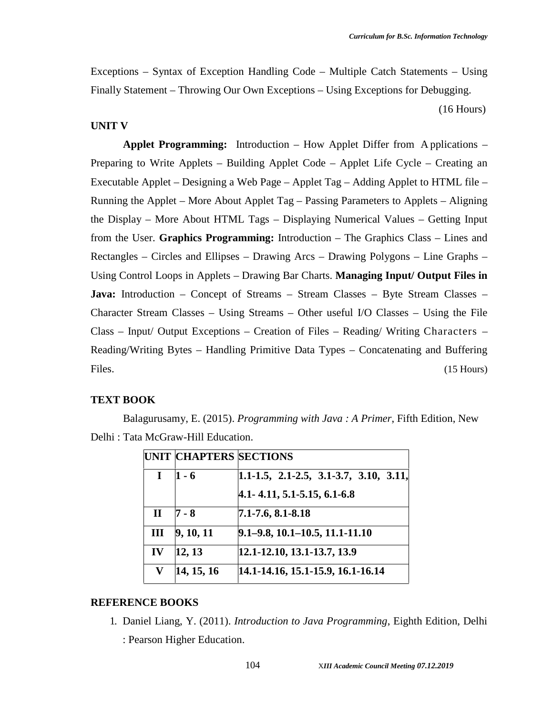Exceptions – Syntax of Exception Handling Code – Multiple Catch Statements – Using Finally Statement – Throwing Our Own Exceptions – Using Exceptions for Debugging.

(16 Hours)

#### **UNIT V**

**Applet Programming:** Introduction – How Applet Differ from A pplications – Preparing to Write Applets – Building Applet Code – Applet Life Cycle – Creating an Executable Applet – Designing a Web Page – Applet Tag – Adding Applet to HTML file – Running the Applet – More About Applet Tag – Passing Parameters to Applets – Aligning the Display – More About HTML Tags – Displaying Numerical Values – Getting Input from the User. **Graphics Programming:** Introduction – The Graphics Class – Lines and Rectangles – Circles and Ellipses – Drawing Arcs – Drawing Polygons – Line Graphs – Using Control Loops in Applets – Drawing Bar Charts. **Managing Input/ Output Files in Java:** Introduction – Concept of Streams – Stream Classes – Byte Stream Classes – Character Stream Classes – Using Streams – Other useful I/O Classes – Using the File Class – Input/ Output Exceptions – Creation of Files – Reading/ Writing Characters – Reading/Writing Bytes – Handling Primitive Data Types – Concatenating and Buffering Files. (15 Hours)

#### **TEXT BOOK**

Balagurusamy, E. (2015). *Programming with Java : A Primer*, Fifth Edition, New Delhi : Tata McGraw-Hill Education.

| <b>UNIT CHAPTERS SECTIONS</b> |                                           |
|-------------------------------|-------------------------------------------|
| $1 - 6$                       | $1.1-1.5$ , 2.1-2.5, 3.1-3.7, 3.10, 3.11, |
|                               | 4.1 - 4.11, 5.1 - 5.15, 6.1 - 6.8         |
| $7 - 8$                       | 7.1-7.6, 8.1-8.18                         |
|                               | $9.1 - 9.8$ , 10.1 - 10.5, 11.1 - 11.10   |
| 12, 13                        | 12.1-12.10, 13.1-13.7, 13.9               |
| 14, 15, 16                    | 14.1-14.16, 15.1-15.9, 16.1-16.14         |
|                               | 9, 10, 11                                 |

#### **REFERENCE BOOKS**

1. Daniel Liang, Y. (2011). *Introduction to Java Programming*, Eighth Edition, Delhi

: Pearson Higher Education.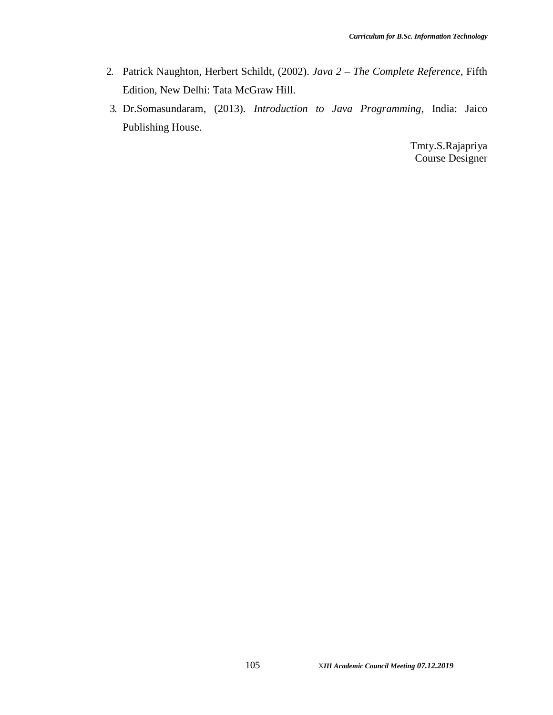- 2. Patrick Naughton, Herbert Schildt, (2002). *Java 2 – The Complete Reference*, Fifth Edition, New Delhi: Tata McGraw Hill.
- 3. Dr.Somasundaram, (2013). *Introduction to Java Programming*, India: Jaico Publishing House.

Tmty.S.Rajapriya Course Designer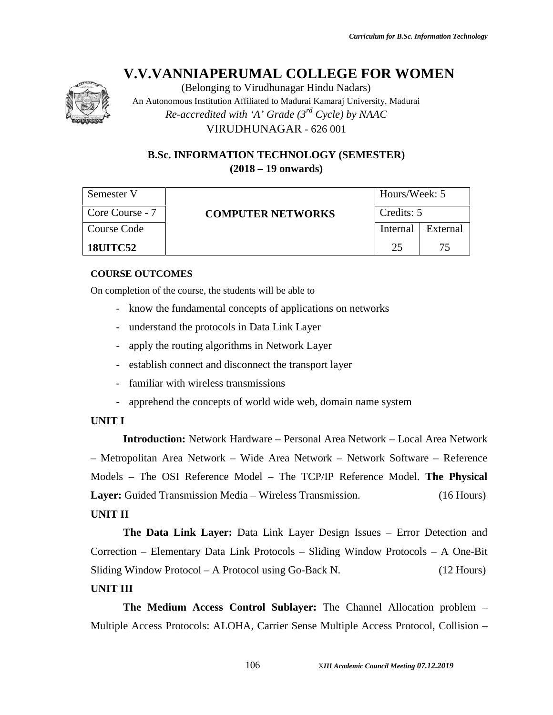

(Belonging to Virudhunagar Hindu Nadars)

An Autonomous Institution Affiliated to Madurai Kamaraj University, Madurai *Re-accredited with 'A' Grade (3rd Cycle) by NAAC* VIRUDHUNAGAR - 626 001

### **B.Sc. INFORMATION TECHNOLOGY (SEMESTER) (2018 – 19 onwards)**

| Semester V      |                          | Hours/Week: 5 |          |  |
|-----------------|--------------------------|---------------|----------|--|
| Core Course - 7 | <b>COMPUTER NETWORKS</b> | Credits: 5    |          |  |
| Course Code     |                          | Internal      | External |  |
| <b>18UITC52</b> |                          | 25            | 75       |  |

#### **COURSE OUTCOMES**

On completion of the course, the students will be able to

- know the fundamental concepts of applications on networks
- understand the protocols in Data Link Layer
- apply the routing algorithms in Network Layer
- establish connect and disconnect the transport layer
- familiar with wireless transmissions
- apprehend the concepts of world wide web, domain name system

### **UNIT I**

**Introduction:** Network Hardware – Personal Area Network – Local Area Network – Metropolitan Area Network – Wide Area Network – Network Software – Reference Models – The OSI Reference Model – The TCP/IP Reference Model. **The Physical Layer:** Guided Transmission Media – Wireless Transmission. (16 Hours)

# **UNIT II**

**The Data Link Layer:** Data Link Layer Design Issues – Error Detection and Correction – Elementary Data Link Protocols – Sliding Window Protocols – A One-Bit Sliding Window Protocol – A Protocol using Go-Back N. (12 Hours)

### **UNIT III**

**The Medium Access Control Sublayer:** The Channel Allocation problem – Multiple Access Protocols: ALOHA, Carrier Sense Multiple Access Protocol, Collision –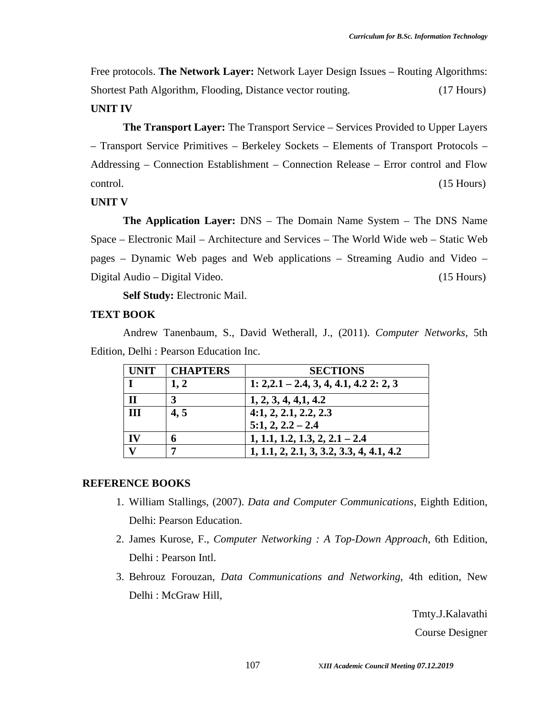Free protocols. **The Network Layer:** Network Layer Design Issues – Routing Algorithms: Shortest Path Algorithm, Flooding, Distance vector routing. (17 Hours)

### **UNIT IV**

**The Transport Layer:** The Transport Service – Services Provided to Upper Layers – Transport Service Primitives – Berkeley Sockets – Elements of Transport Protocols – Addressing – Connection Establishment – Connection Release – Error control and Flow control. (15 Hours)

#### **UNIT V**

**The Application Layer:** DNS – The Domain Name System – The DNS Name Space – Electronic Mail – Architecture and Services – The World Wide web – Static Web pages – Dynamic Web pages and Web applications – Streaming Audio and Video – Digital Audio – Digital Video. (15 Hours)

**Self Study:** Electronic Mail.

#### **TEXT BOOK**

Andrew Tanenbaum, S., David Wetherall, J., (2011). *Computer Networks*, 5th Edition, Delhi : Pearson Education Inc.

| <b>UNIT</b>  | <b>CHAPTERS</b> | <b>SECTIONS</b>                            |
|--------------|-----------------|--------------------------------------------|
|              | 1, 2            | 1: 2,2,1 – 2,4, 3, 4, 4,1, 4,2 2: 2, 3     |
| $\mathbf H$  |                 | 1, 2, 3, 4, 4, 1, 4.2                      |
| Ш            | 4, 5            | 4:1, 2, 2.1, 2.2, 2.3                      |
|              |                 | $5:1, 2, 2.2 - 2.4$                        |
| $\mathbf{I}$ |                 | $1, 1.1, 1.2, 1.3, 2, 2.1 - 2.4$           |
|              |                 | $1, 1.1, 2, 2.1, 3, 3.2, 3.3, 4, 4.1, 4.2$ |

#### **REFERENCE BOOKS**

- 1. William Stallings, (2007). *Data and Computer Communications*, Eighth Edition, Delhi: Pearson Education.
- 2. James Kurose, F., *Computer Networking : A Top-Down Approach*, 6th Edition, Delhi : Pearson Intl.
- 3. Behrouz Forouzan, *Data Communications and Networking*, 4th edition, New Delhi : McGraw Hill,

Tmty.J.Kalavathi

Course Designer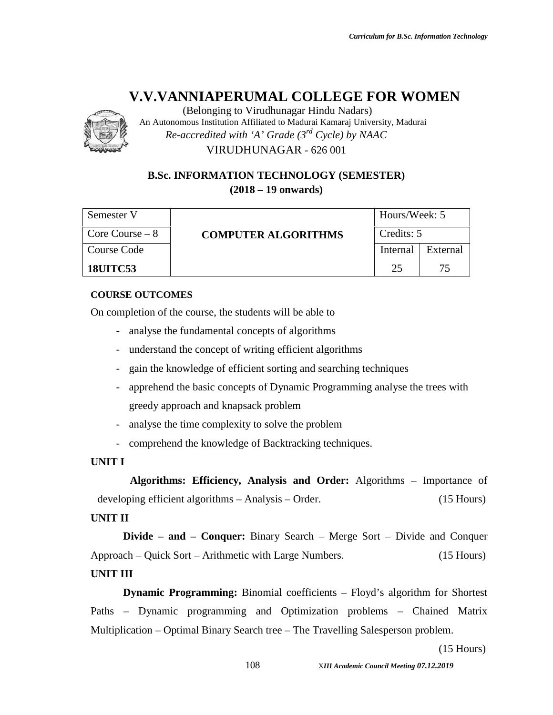

(Belonging to Virudhunagar Hindu Nadars) An Autonomous Institution Affiliated to Madurai Kamaraj University, Madurai *Re-accredited with 'A' Grade (3rd Cycle) by NAAC* VIRUDHUNAGAR - 626 001

### **B.Sc. INFORMATION TECHNOLOGY (SEMESTER) (2018 – 19 onwards)**

| Semester V       |                            | Hours/Week: 5 |          |  |
|------------------|----------------------------|---------------|----------|--|
| Core Course $-8$ | <b>COMPUTER ALGORITHMS</b> | Credits: 5    |          |  |
| Course Code      |                            | Internal      | External |  |
| <b>18UITC53</b>  |                            | つく            | 75       |  |

### **COURSE OUTCOMES**

On completion of the course, the students will be able to

- analyse the fundamental concepts of algorithms
- understand the concept of writing efficient algorithms
- gain the knowledge of efficient sorting and searching techniques
- apprehend the basic concepts of Dynamic Programming analyse the trees with greedy approach and knapsack problem
- analyse the time complexity to solve the problem
- comprehend the knowledge of Backtracking techniques.

### **UNIT I**

**Algorithms: Efficiency, Analysis and Order:** Algorithms – Importance of developing efficient algorithms – Analysis – Order. (15 Hours)

#### **UNIT II**

**Divide – and – Conquer:** Binary Search – Merge Sort – Divide and Conquer Approach – Quick Sort – Arithmetic with Large Numbers. (15 Hours)

### **UNIT III**

**Dynamic Programming:** Binomial coefficients – Floyd's algorithm for Shortest Paths – Dynamic programming and Optimization problems – Chained Matrix Multiplication – Optimal Binary Search tree – The Travelling Salesperson problem.

(15 Hours)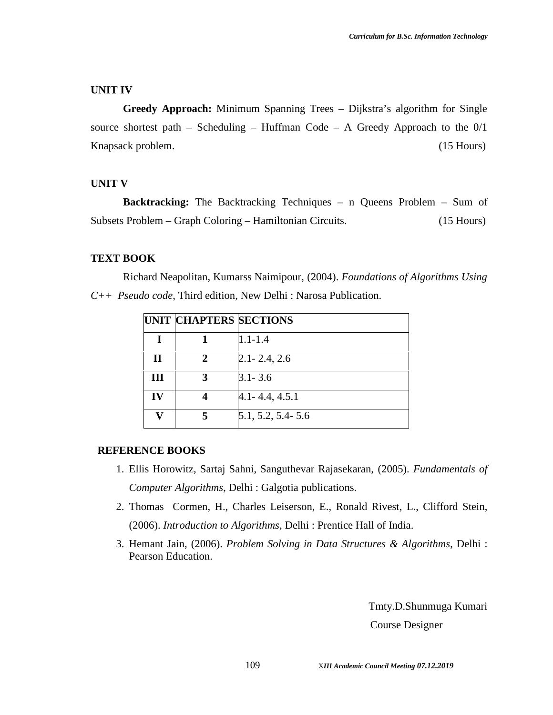#### **UNIT IV**

**Greedy Approach:** Minimum Spanning Trees – Dijkstra's algorithm for Single source shortest path – Scheduling – Huffman Code – A Greedy Approach to the  $0/1$ Knapsack problem. (15 Hours)

#### **UNIT V**

**Backtracking:** The Backtracking Techniques – n Queens Problem – Sum of Subsets Problem – Graph Coloring – Hamiltonian Circuits. (15 Hours)

#### **TEXT BOOK**

Richard Neapolitan, Kumarss Naimipour, (2004). *Foundations of Algorithms Using C++ Pseudo code*, Third edition, New Delhi : Narosa Publication.

|    | <b>UNIT CHAPTERS SECTIONS</b> |                       |
|----|-------------------------------|-----------------------|
| T  |                               | $1.1 - 1.4$           |
| П  | 2                             | $2.1 - 2.4, 2.6$      |
| Ш  |                               | $3.1 - 3.6$           |
| IV |                               | $4.1 - 4.4, 4.5.1$    |
|    |                               | $5.1, 5.2, 5.4 - 5.6$ |

#### **REFERENCE BOOKS**

- 1. Ellis Horowitz, Sartaj Sahni, Sanguthevar Rajasekaran, (2005). *Fundamentals of Computer Algorithms*, Delhi : Galgotia publications.
- 2. Thomas Cormen, H., Charles Leiserson, E., Ronald Rivest, L., Clifford Stein, (2006). *Introduction to Algorithms,* Delhi : Prentice Hall of India.
- 3. Hemant Jain, (2006). *Problem Solving in Data Structures & Algorithms*, Delhi : Pearson Education.

Tmty.D.Shunmuga Kumari Course Designer

109 X*III Academic Council Meeting 07.12.2019*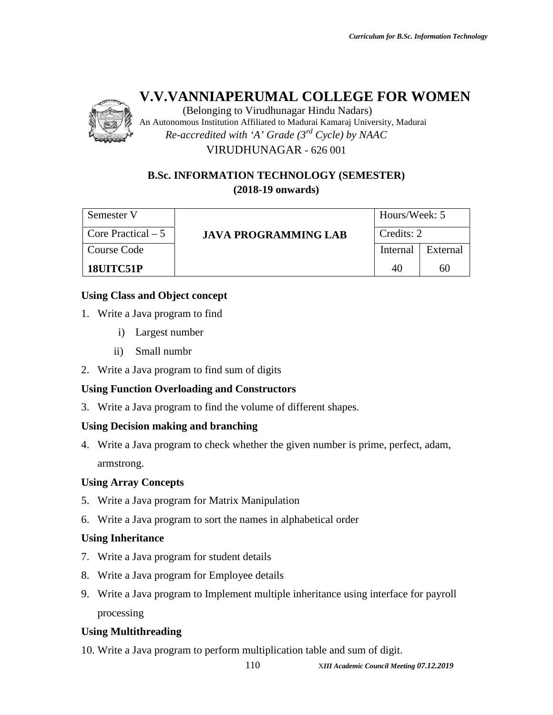

(Belonging to Virudhunagar Hindu Nadars) An Autonomous Institution Affiliated to Madurai Kamaraj University, Madurai *Re-accredited with 'A' Grade (3rd Cycle) by NAAC* VIRUDHUNAGAR - 626 001

### **B.Sc. INFORMATION TECHNOLOGY (SEMESTER) (2018-19 onwards)**

| Semester V          |                             | Hours/Week: 5 |          |
|---------------------|-----------------------------|---------------|----------|
| Core Practical $-5$ | <b>JAVA PROGRAMMING LAB</b> | Credits: 2    |          |
| Course Code         |                             | Internal      | External |
| 18UITC51P           |                             | 40            | 60       |

### **Using Class and Object concept**

- 1. Write a Java program to find
	- i) Largest number
	- ii) Small numbr
- 2. Write a Java program to find sum of digits

### **Using Function Overloading and Constructors**

3. Write a Java program to find the volume of different shapes.

### **Using Decision making and branching**

4. Write a Java program to check whether the given number is prime, perfect, adam, armstrong.

#### **Using Array Concepts**

- 5. Write a Java program for Matrix Manipulation
- 6. Write a Java program to sort the names in alphabetical order

### **Using Inheritance**

- 7. Write a Java program for student details
- 8. Write a Java program for Employee details
- 9. Write a Java program to Implement multiple inheritance using interface for payroll processing

### **Using Multithreading**

10. Write a Java program to perform multiplication table and sum of digit.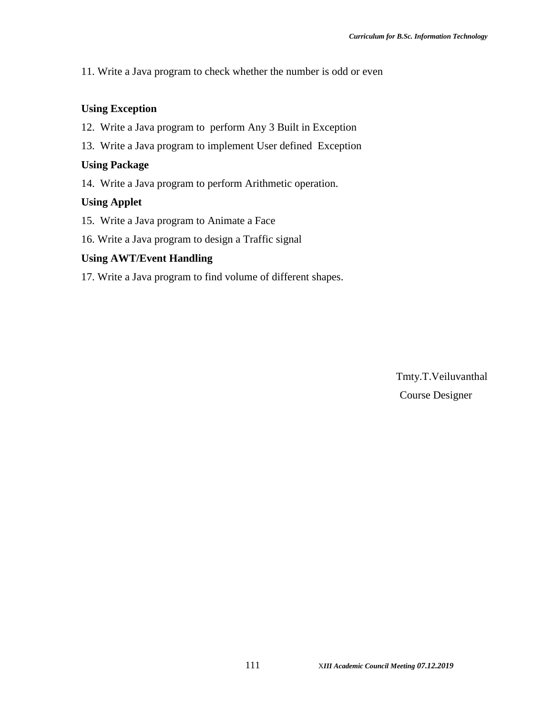11. Write a Java program to check whether the number is odd or even

#### **Using Exception**

- 12. Write a Java program to perform Any 3 Built in Exception
- 13. Write a Java program to implement User defined Exception

#### **Using Package**

14. Write a Java program to perform Arithmetic operation.

#### **Using Applet**

- 15. Write a Java program to Animate a Face
- 16. Write a Java program to design a Traffic signal

#### **Using AWT/Event Handling**

17. Write a Java program to find volume of different shapes.

Tmty.T.Veiluvanthal Course Designer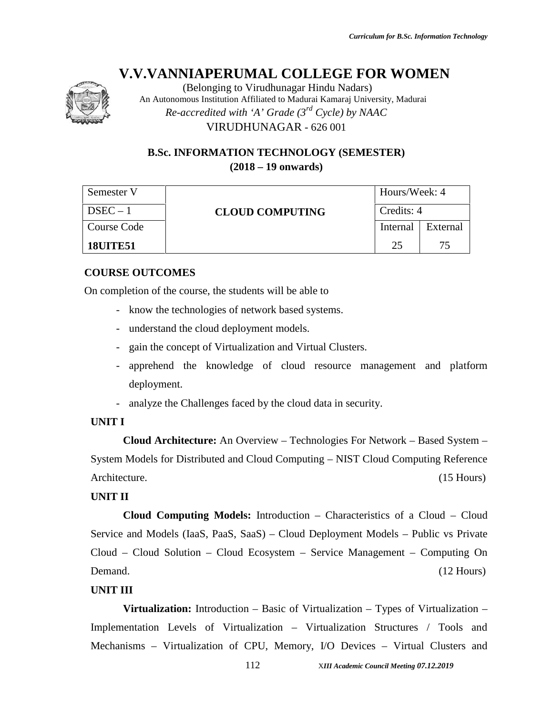

(Belonging to Virudhunagar Hindu Nadars) An Autonomous Institution Affiliated to Madurai Kamaraj University, Madurai *Re-accredited with 'A' Grade (3rd Cycle) by NAAC* VIRUDHUNAGAR - 626 001

### **B.Sc. INFORMATION TECHNOLOGY (SEMESTER) (2018 – 19 onwards)**

| Semester V      |                        | Hours/Week: 4 |          |
|-----------------|------------------------|---------------|----------|
| $DSEC - 1$      | <b>CLOUD COMPUTING</b> | Credits: 4    |          |
| Course Code     |                        | Internal      | External |
| <b>18UITE51</b> |                        | つち            | 75       |

### **COURSE OUTCOMES**

On completion of the course, the students will be able to

- know the technologies of network based systems.
- understand the cloud deployment models.
- gain the concept of Virtualization and Virtual Clusters.
- apprehend the knowledge of cloud resource management and platform deployment.
- analyze the Challenges faced by the cloud data in security.

#### **UNIT I**

**Cloud Architecture:** An Overview – Technologies For Network – Based System – System Models for Distributed and Cloud Computing – NIST Cloud Computing Reference Architecture. (15 Hours) (15 Hours)

#### **UNIT II**

**Cloud Computing Models:** Introduction – Characteristics of a Cloud – Cloud Service and Models (IaaS, PaaS, SaaS) – Cloud Deployment Models – Public vs Private Cloud – Cloud Solution – Cloud Ecosystem – Service Management – Computing On Demand. (12 Hours) (12 Hours)

#### **UNIT III**

**Virtualization:** Introduction – Basic of Virtualization – Types of Virtualization – Implementation Levels of Virtualization – Virtualization Structures / Tools and Mechanisms – Virtualization of CPU, Memory, I/O Devices – Virtual Clusters and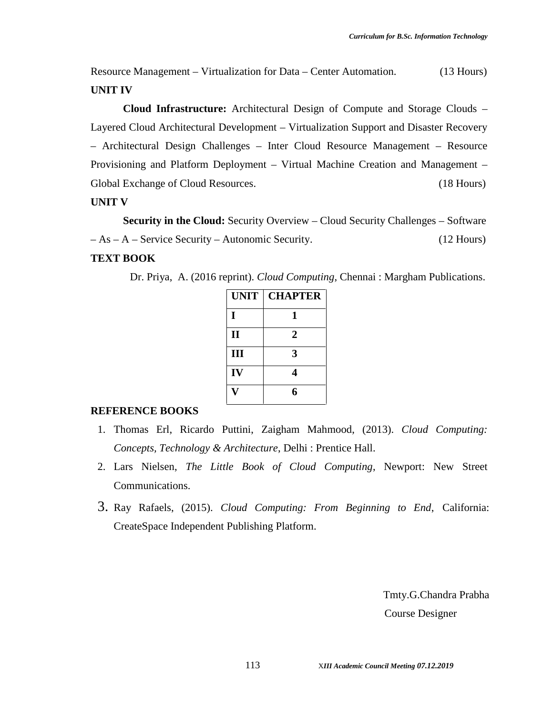Resource Management – Virtualization for Data – Center Automation. (13 Hours) **UNIT IV**

**Cloud Infrastructure:** Architectural Design of Compute and Storage Clouds – Layered Cloud Architectural Development – Virtualization Support and Disaster Recovery – Architectural Design Challenges – Inter Cloud Resource Management – Resource Provisioning and Platform Deployment – Virtual Machine Creation and Management – Global Exchange of Cloud Resources. (18 Hours)

#### **UNIT V**

**Security in the Cloud:** Security Overview – Cloud Security Challenges – Software – As – A – Service Security – Autonomic Security. (12 Hours)

### **TEXT BOOK**

Dr. Priya, A. (2016 reprint). *Cloud Computing*, Chennai : Margham Publications.

|              | UNIT   CHAPTER |
|--------------|----------------|
| I            |                |
| $\mathbf{I}$ | 2              |
| III          | 3              |
| IV           |                |
|              | ĸ              |

#### **REFERENCE BOOKS**

- 1. Thomas Erl, Ricardo Puttini, Zaigham Mahmood, (2013). *Cloud Computing: Concepts, Technology & Architecture*, Delhi : Prentice Hall.
- 2. Lars Nielsen, *The Little Book of Cloud Computing*, Newport: New Street Communications.
- 3. Ray Rafaels, (2015). *Cloud Computing: From Beginning to End*, California: CreateSpace Independent Publishing Platform.

Tmty.G.Chandra Prabha Course Designer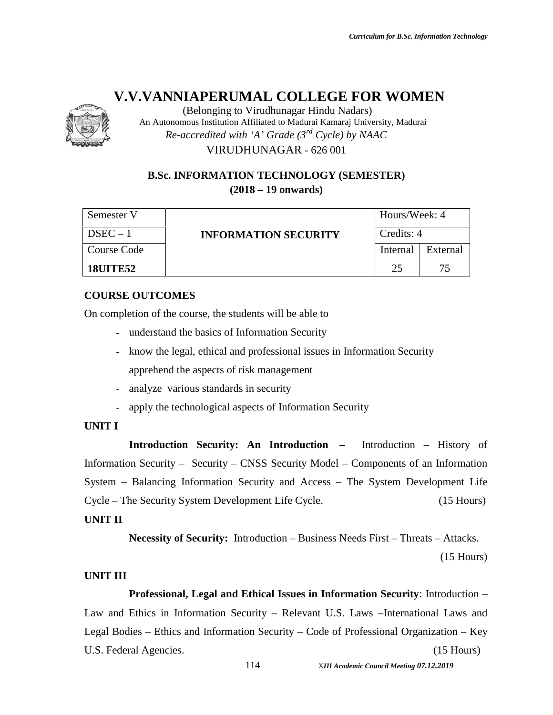

(Belonging to Virudhunagar Hindu Nadars) An Autonomous Institution Affiliated to Madurai Kamaraj University, Madurai *Re-accredited with 'A' Grade (3rd Cycle) by NAAC* VIRUDHUNAGAR - 626 001

### **B.Sc. INFORMATION TECHNOLOGY (SEMESTER) (2018 – 19 onwards)**

| Semester V      |                             | Hours/Week: 4 |          |
|-----------------|-----------------------------|---------------|----------|
| $DSEC - 1$      | <b>INFORMATION SECURITY</b> | Credits: 4    |          |
| Course Code     |                             | Internal      | External |
| <b>18UITE52</b> |                             | つう            | 75       |

### **COURSE OUTCOMES**

On completion of the course, the students will be able to

- understand the basics of Information Security
- know the legal, ethical and professional issues in Information Security apprehend the aspects of risk management
- analyze various standards in security
- apply the technological aspects of Information Security

#### **UNIT I**

**Introduction Security: An Introduction –** Introduction – History of Information Security – Security – CNSS Security Model – Components of an Information System – Balancing Information Security and Access – The System Development Life Cycle – The Security System Development Life Cycle. (15 Hours)

#### **UNIT II**

**Necessity of Security:** Introduction – Business Needs First – Threats – Attacks.

(15 Hours)

### **UNIT III**

**Professional, Legal and Ethical Issues in Information Security**: Introduction – Law and Ethics in Information Security – Relevant U.S. Laws –International Laws and Legal Bodies – Ethics and Information Security – Code of Professional Organization – Key U.S. Federal Agencies. (15 Hours)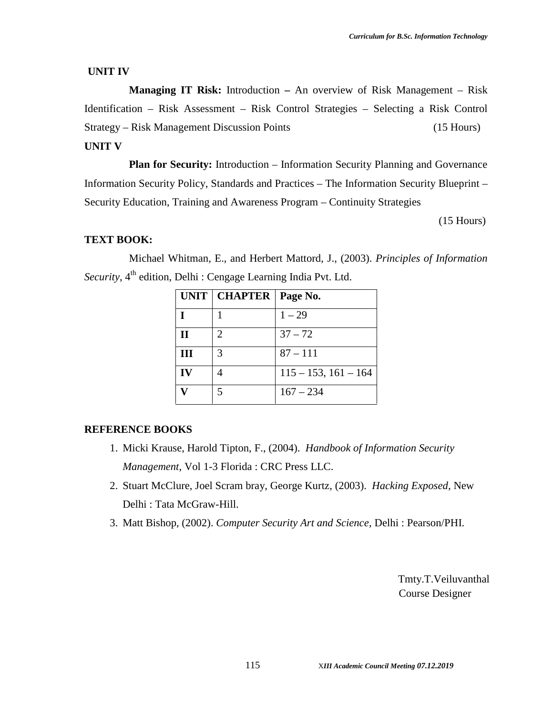#### **UNIT IV**

**Managing IT Risk:** Introduction **–** An overview of Risk Management – Risk Identification – Risk Assessment – Risk Control Strategies – Selecting a Risk Control Strategy – Risk Management Discussion Points (15 Hours) **UNIT V**

**Plan for Security:** Introduction – Information Security Planning and Governance Information Security Policy, Standards and Practices – The Information Security Blueprint – Security Education, Training and Awareness Program – Continuity Strategies

(15 Hours)

#### **TEXT BOOK:**

Michael Whitman, E., and Herbert Mattord, J., (2003). *Principles of Information* Security, 4<sup>th</sup> edition, Delhi : Cengage Learning India Pvt. Ltd.

|   | UNIT   CHAPTER   Page No. |                           |
|---|---------------------------|---------------------------|
|   |                           | $1 - 29$                  |
|   | $\mathcal{D}_{\cdot}$     | $37 - 72$                 |
| Ш | 3                         | $87 - 111$                |
|   |                           | $115 - 153$ , $161 - 164$ |
|   |                           | $167 - 234$               |

#### **REFERENCE BOOKS**

- 1. Micki Krause, Harold Tipton, F., (2004). *Handbook of Information Security Management*, Vol 1-3 Florida : CRC Press LLC.
- 2. Stuart McClure, Joel Scram bray, George Kurtz, (2003). *Hacking Exposed*, New Delhi : Tata McGraw-Hill.
- 3. Matt Bishop, (2002). *Computer Security Art and Science*, Delhi : Pearson/PHI.

Tmty.T.Veiluvanthal Course Designer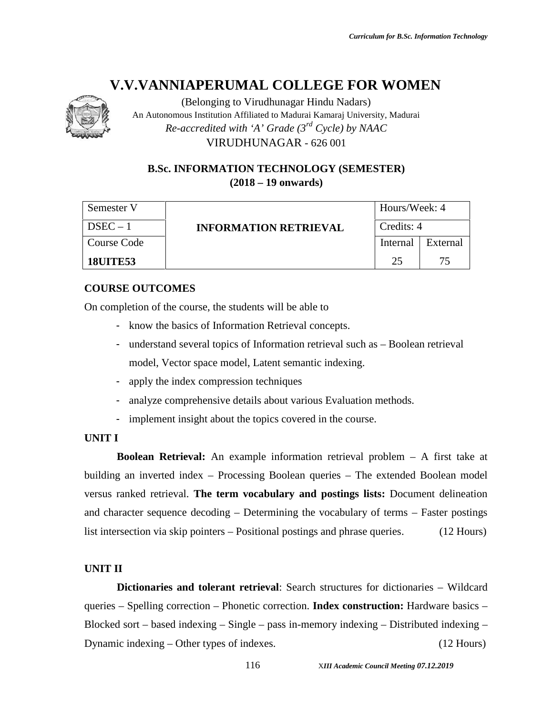

(Belonging to Virudhunagar Hindu Nadars) An Autonomous Institution Affiliated to Madurai Kamaraj University, Madurai *Re-accredited with 'A' Grade (3rd Cycle) by NAAC*

VIRUDHUNAGAR - 626 001

### **B.Sc. INFORMATION TECHNOLOGY (SEMESTER) (2018 – 19 onwards)**

| Semester V      |                              | Hours/Week: 4 |          |
|-----------------|------------------------------|---------------|----------|
| $DSEC - 1$      | <b>INFORMATION RETRIEVAL</b> | Credits: 4    |          |
| Course Code     |                              | Internal      | External |
| <b>18UITE53</b> |                              | 25            | 75       |

### **COURSE OUTCOMES**

On completion of the course, the students will be able to

- know the basics of Information Retrieval concepts.
- understand several topics of Information retrieval such as Boolean retrieval model, Vector space model, Latent semantic indexing.
- apply the index compression techniques
- analyze comprehensive details about various Evaluation methods.
- implement insight about the topics covered in the course.

#### **UNIT I**

**Boolean Retrieval:** An example information retrieval problem – A first take at building an inverted index – Processing Boolean queries – The extended Boolean model versus ranked retrieval. **The term vocabulary and postings lists:** Document delineation and character sequence decoding – Determining the vocabulary of terms – Faster postings list intersection via skip pointers – Positional postings and phrase queries. (12 Hours)

### **UNIT II**

**Dictionaries and tolerant retrieval**: Search structures for dictionaries – Wildcard queries – Spelling correction – Phonetic correction. **Index construction:** Hardware basics – Blocked sort – based indexing – Single – pass in-memory indexing – Distributed indexing – Dynamic indexing – Other types of indexes. (12 Hours)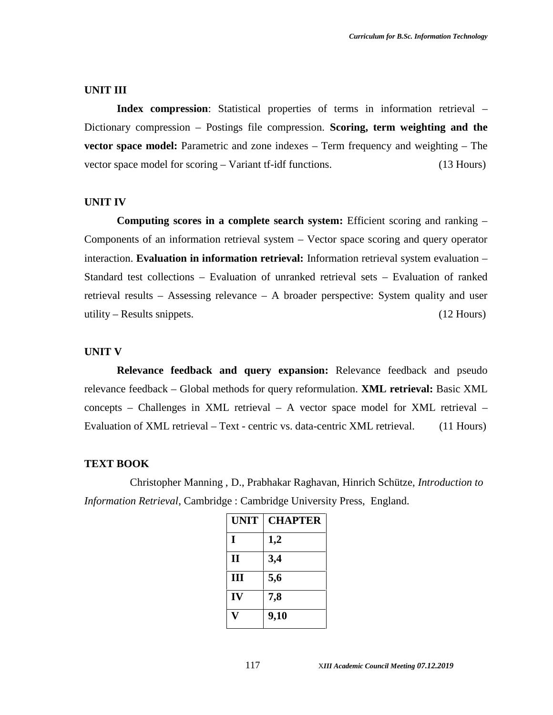#### **UNIT III**

Index compression: Statistical properties of terms in information retrieval – Dictionary compression – Postings file compression. **Scoring, term weighting and the vector space model:** Parametric and zone indexes – Term frequency and weighting – The vector space model for scoring – Variant tf-idf functions. (13 Hours)

#### **UNIT IV**

**Computing scores in a complete search system:** Efficient scoring and ranking – Components of an information retrieval system – Vector space scoring and query operator interaction. **Evaluation in information retrieval:** Information retrieval system evaluation – Standard test collections – Evaluation of unranked retrieval sets – Evaluation of ranked retrieval results – Assessing relevance – A broader perspective: System quality and user utility – Results snippets. (12 Hours)

#### **UNIT V**

**Relevance feedback and query expansion:** Relevance feedback and pseudo relevance feedback – Global methods for query reformulation. **XML retrieval:** Basic XML concepts – Challenges in XML retrieval – A vector space model for XML retrieval – Evaluation of XML retrieval – Text - centric vs. data-centric XML retrieval. (11 Hours)

#### **TEXT BOOK**

Christopher Manning , D., Prabhakar Raghavan, Hinrich Schütze, *Introduction to Information Retrieval*, Cambridge : Cambridge University Press, England.

| <b>UNIT</b>  | <b>CHAPTER</b> |
|--------------|----------------|
| I            | 1,2            |
| $\mathbf{I}$ | 3,4            |
| III          | 5,6            |
| IV           | 7,8            |
|              | 9,10           |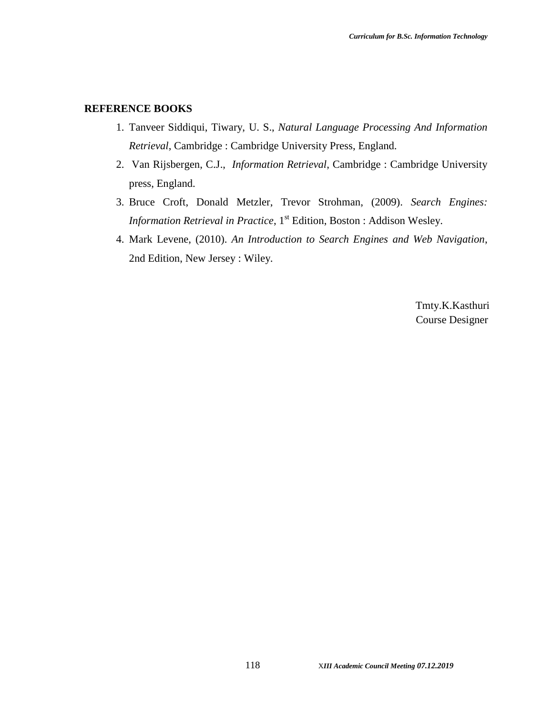#### **REFERENCE BOOKS**

- 1. Tanveer Siddiqui, Tiwary, U. S., *Natural Language Processing And Information Retrieval*, Cambridge : Cambridge University Press, England.
- 2. Van Rijsbergen, C.J., *Information Retrieval*, Cambridge : Cambridge University press, England.
- 3. Bruce Croft, Donald Metzler, Trevor Strohman, (2009). *Search Engines: Information Retrieval in Practice*, 1<sup>st</sup> Edition, Boston : Addison Wesley.
- 4. Mark Levene, (2010). *An Introduction to Search Engines and Web Navigation*, 2nd Edition, New Jersey : Wiley.

Tmty.K.Kasthuri Course Designer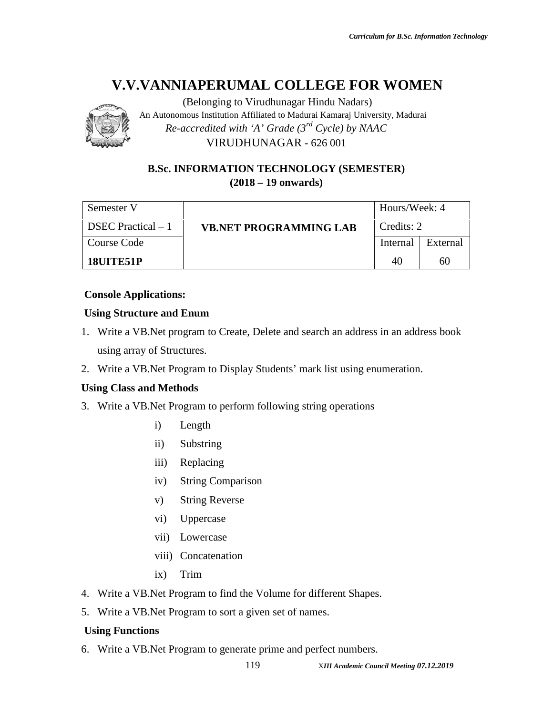(Belonging to Virudhunagar Hindu Nadars) An Autonomous Institution Affiliated to Madurai Kamaraj University, Madurai *Re-accredited with 'A' Grade (3rd Cycle) by NAAC*

VIRUDHUNAGAR - 626 001

### **B.Sc. INFORMATION TECHNOLOGY (SEMESTER) (2018 – 19 onwards)**

| Semester V                |                               | Hours/Week: 4 |          |  |
|---------------------------|-------------------------------|---------------|----------|--|
| <b>DSEC</b> Practical – 1 | <b>VB.NET PROGRAMMING LAB</b> | Credits: 2    |          |  |
| Course Code               |                               | Internal      | External |  |
| 18UITE51P                 |                               | 40            | 60       |  |

### **Console Applications:**

### **Using Structure and Enum**

- 1. Write a VB.Net program to Create, Delete and search an address in an address book using array of Structures.
- 2. Write a VB.Net Program to Display Students' mark list using enumeration.

#### **Using Class and Methods**

- 3. Write a VB.Net Program to perform following string operations
	- i) Length
	- ii) Substring
	- iii) Replacing
	- iv) String Comparison
	- v) String Reverse
	- vi) Uppercase
	- vii) Lowercase
	- viii) Concatenation
	- ix) Trim
- 4. Write a VB.Net Program to find the Volume for different Shapes.
- 5. Write a VB.Net Program to sort a given set of names.

### **Using Functions**

6. Write a VB.Net Program to generate prime and perfect numbers.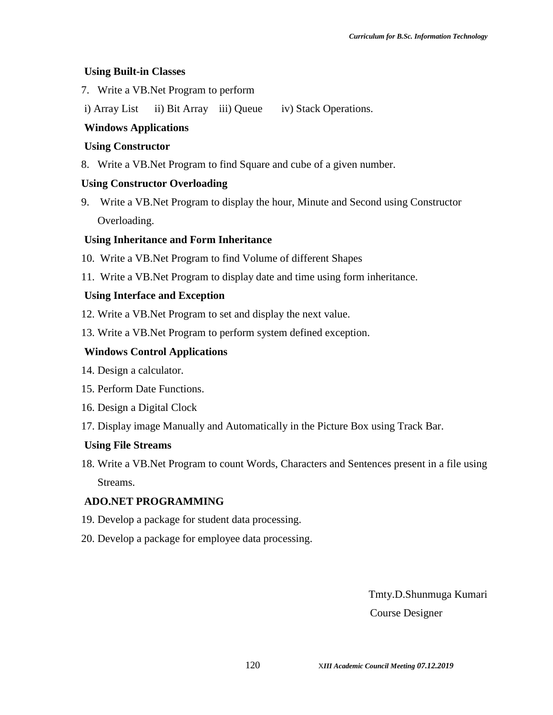#### **Using Built-in Classes**

- 7. Write a VB.Net Program to perform
- i) Array List ii) Bit Array iii) Queue iv) Stack Operations.

### **Windows Applications**

#### **Using Constructor**

8. Write a VB.Net Program to find Square and cube of a given number.

#### **Using Constructor Overloading**

9. Write a VB.Net Program to display the hour, Minute and Second using Constructor Overloading.

#### **Using Inheritance and Form Inheritance**

- 10. Write a VB.Net Program to find Volume of different Shapes
- 11. Write a VB.Net Program to display date and time using form inheritance.

#### **Using Interface and Exception**

- 12. Write a VB.Net Program to set and display the next value.
- 13. Write a VB.Net Program to perform system defined exception.

#### **Windows Control Applications**

- 14. Design a calculator.
- 15. Perform Date Functions.
- 16. Design a Digital Clock
- 17. Display image Manually and Automatically in the Picture Box using Track Bar.

#### **Using File Streams**

18. Write a VB.Net Program to count Words, Characters and Sentences present in a file using Streams.

#### **ADO.NET PROGRAMMING**

- 19. Develop a package for student data processing.
- 20. Develop a package for employee data processing.

Tmty.D.Shunmuga Kumari Course Designer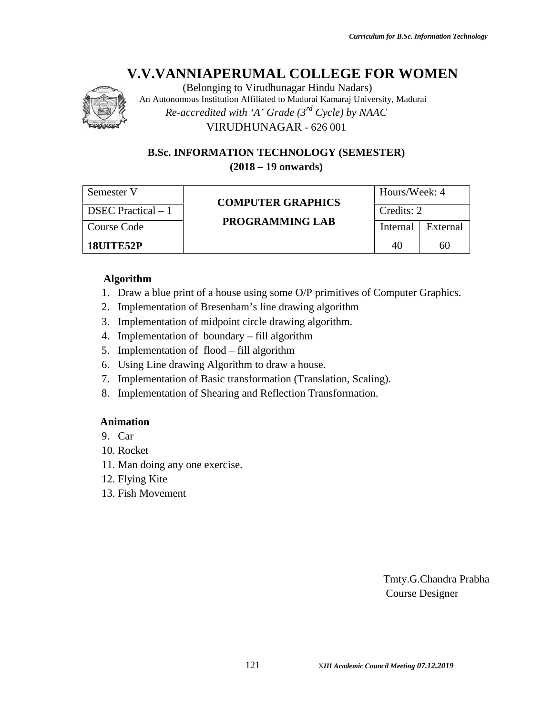

(Belonging to Virudhunagar Hindu Nadars) An Autonomous Institution Affiliated to Madurai Kamaraj University, Madurai *Re-accredited with 'A' Grade (3rd Cycle) by NAAC* VIRUDHUNAGAR - 626 001

**B.Sc. INFORMATION TECHNOLOGY (SEMESTER) (2018 – 19 onwards)**

| Semester V          |                          | Hours/Week: 4 |          |  |
|---------------------|--------------------------|---------------|----------|--|
| DSEC Practical $-1$ | <b>COMPUTER GRAPHICS</b> | Credits: 2    |          |  |
| Course Code         | PROGRAMMING LAB          | Internal      | External |  |
| <b>18UITE52P</b>    |                          | 40            | 60       |  |

#### **Algorithm**

- 1. Draw a blue print of a house using some O/P primitives of Computer Graphics.
- 2. Implementation of Bresenham's line drawing algorithm
- 3. Implementation of midpoint circle drawing algorithm.
- 4. Implementation of boundary fill algorithm
- 5. Implementation of flood fill algorithm
- 6. Using Line drawing Algorithm to draw a house.
- 7. Implementation of Basic transformation (Translation, Scaling).
- 8. Implementation of Shearing and Reflection Transformation.

#### **Animation**

- 9. Car
- 10. Rocket
- 11. Man doing any one exercise.
- 12. Flying Kite
- 13. Fish Movement

Tmty.G.Chandra Prabha Course Designer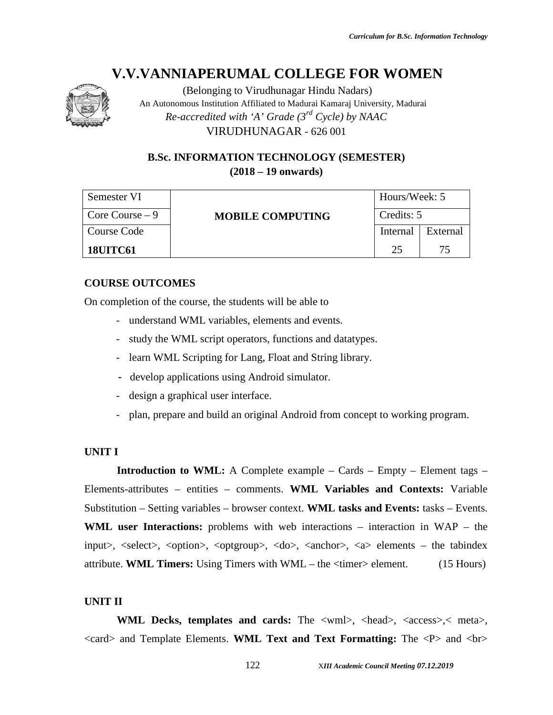

(Belonging to Virudhunagar Hindu Nadars) An Autonomous Institution Affiliated to Madurai Kamaraj University, Madurai *Re-accredited with 'A' Grade (3rd Cycle) by NAAC* VIRUDHUNAGAR - 626 001

### **B.Sc. INFORMATION TECHNOLOGY (SEMESTER) (2018 – 19 onwards)**

| Semester VI      | <b>MOBILE COMPUTING</b> | Hours/Week: 5 |          |  |
|------------------|-------------------------|---------------|----------|--|
| Core Course $-9$ |                         | Credits: 5    |          |  |
| Course Code      |                         | Internal      | External |  |
| <b>18UITC61</b>  |                         | 25            | 75       |  |

#### **COURSE OUTCOMES**

On completion of the course, the students will be able to

- understand WML variables, elements and events.
- study the WML script operators, functions and datatypes.
- learn WML Scripting for Lang, Float and String library.
- develop applications using Android simulator.
- design a graphical user interface.
- plan, prepare and build an original Android from concept to working program.

### **UNIT I**

**Introduction to WML:** A Complete example – Cards – Empty – Element tags – Elements-attributes – entities – comments. **WML Variables and Contexts:** Variable Substitution – Setting variables – browser context. **WML tasks and Events:** tasks – Events. **WML user Interactions:** problems with web interactions – interaction in WAP – the input>, <select>, <option>, <optgroup>, <do>, <anchor>, <a> elements – the tabindex attribute. **WML Timers:** Using Timers with WML – the <timer> element. (15 Hours)

#### **UNIT II**

**WML Decks, templates and cards:** The <wml>, <head>, <access>,< meta>, <card> and Template Elements. **WML Text and Text Formatting:** The <P> and <br>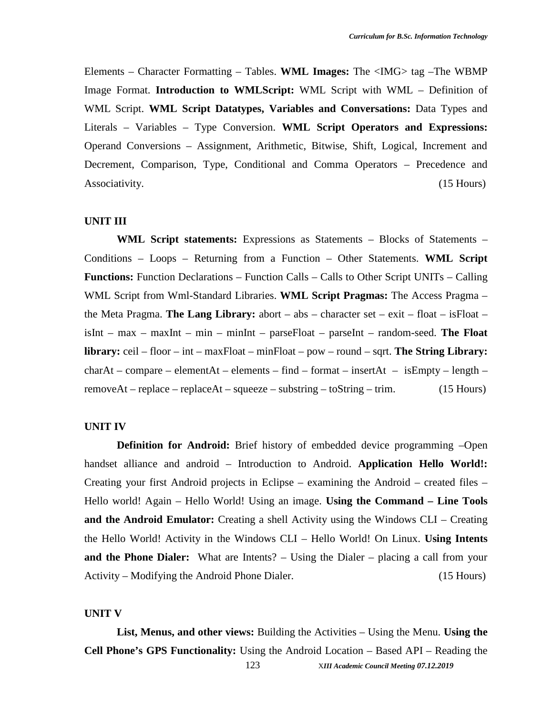Elements – Character Formatting – Tables. **WML Images:** The <IMG> tag –The WBMP Image Format. **Introduction to WMLScript:** WML Script with WML – Definition of WML Script. **WML Script Datatypes, Variables and Conversations:** Data Types and Literals – Variables – Type Conversion. **WML Script Operators and Expressions:** Operand Conversions – Assignment, Arithmetic, Bitwise, Shift, Logical, Increment and Decrement, Comparison, Type, Conditional and Comma Operators – Precedence and Associativity. (15 Hours)

#### **UNIT III**

**WML Script statements:** Expressions as Statements – Blocks of Statements – Conditions – Loops – Returning from a Function – Other Statements. **WML Script Functions:** Function Declarations – Function Calls – Calls to Other Script UNITs – Calling WML Script from Wml-Standard Libraries. **WML Script Pragmas:** The Access Pragma – the Meta Pragma. **The Lang Library:** abort – abs – character set – exit – float – isFloat – isInt – max – maxInt – min – minInt – parseFloat – parseInt – random-seed. **The Float library:** ceil – floor – int – maxFloat – minFloat – pow – round – sqrt. **The String Library:**  $charAt - compare - elementAt - elements - find - format - insertAt - isEmpty - length$ removeAt – replace – replaceAt – squeeze – substring – toString – trim.  $(15 \text{ Hours})$ 

#### **UNIT IV**

**Definition for Android:** Brief history of embedded device programming –Open handset alliance and android – Introduction to Android. **Application Hello World!:** Creating your first Android projects in Eclipse – examining the Android – created files – Hello world! Again – Hello World! Using an image. **Using the Command – Line Tools and the Android Emulator:** Creating a shell Activity using the Windows CLI – Creating the Hello World! Activity in the Windows CLI – Hello World! On Linux. **Using Intents and the Phone Dialer:** What are Intents? – Using the Dialer – placing a call from your Activity – Modifying the Android Phone Dialer. (15 Hours)

#### **UNIT V**

123 X*III Academic Council Meeting 07.12.2019* **List, Menus, and other views:** Building the Activities – Using the Menu. **Using the Cell Phone's GPS Functionality:** Using the Android Location – Based API – Reading the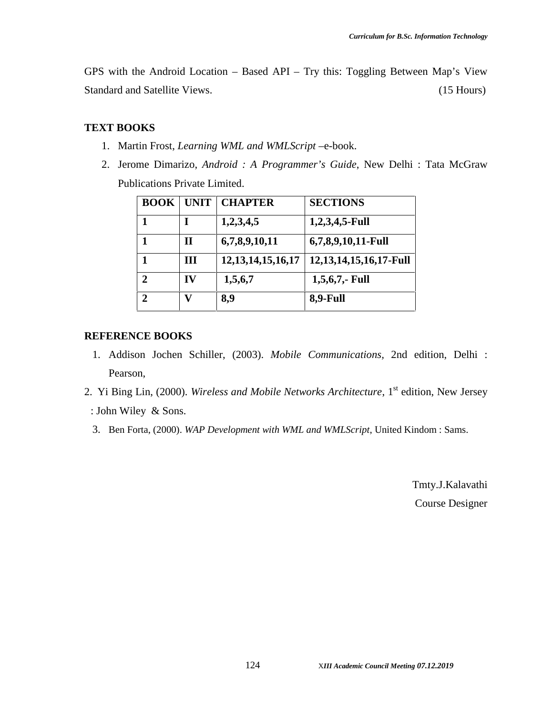GPS with the Android Location – Based API – Try this: Toggling Between Map's View Standard and Satellite Views. (15 Hours)

### **TEXT BOOKS**

- 1. Martin Frost, *Learning WML and WMLScript* –e-book.
- 2. Jerome Dimarizo, *Android : A Programmer's Guide*, New Delhi : Tata McGraw Publications Private Limited.

| <b>BOOK</b> | <b>UNIT</b> | <b>CHAPTER</b>         | <b>SECTIONS</b>             |
|-------------|-------------|------------------------|-----------------------------|
|             |             | 1,2,3,4,5              | $1,2,3,4,5$ -Full           |
|             | Н           | 6,7,8,9,10,11          | 6,7,8,9,10,11-Full          |
|             | Ш           | 12, 13, 14, 15, 16, 17 | 12, 13, 14, 15, 16, 17-Full |
| 2           | IV          | 1,5,6,7                | $1,5,6,7,$ - Full           |
| 2           | V)          | 8,9                    | 8,9-Full                    |

#### **REFERENCE BOOKS**

- 1. Addison Jochen Schiller, (2003). *Mobile Communications,* 2nd edition, Delhi : Pearson,
- 2. Yi Bing Lin, (2000). *Wireless and Mobile Networks Architecture*, 1<sup>st</sup> edition, New Jersey : John Wiley & Sons.
	- 3. Ben Forta, (2000). *WAP Development with WML and WMLScript*, United Kindom : Sams.

Tmty.J.Kalavathi Course Designer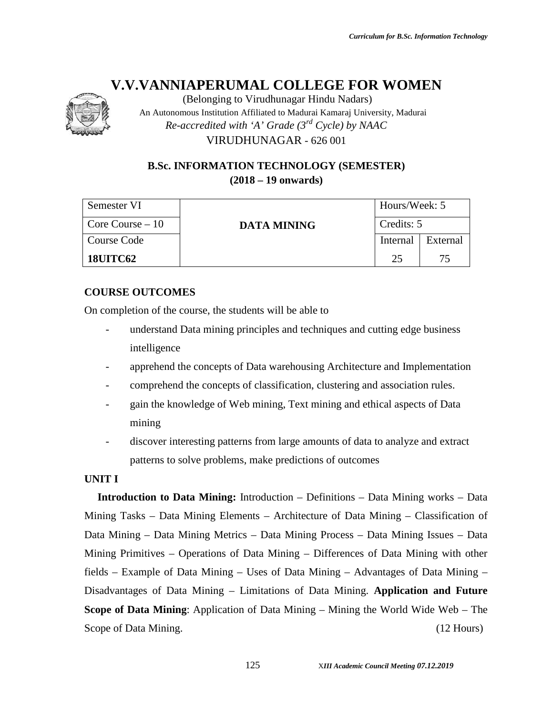

(Belonging to Virudhunagar Hindu Nadars) An Autonomous Institution Affiliated to Madurai Kamaraj University, Madurai *Re-accredited with 'A' Grade (3rd Cycle) by NAAC* VIRUDHUNAGAR - 626 001

### **B.Sc. INFORMATION TECHNOLOGY (SEMESTER) (2018 – 19 onwards)**

| Semester VI                 | <b>DATA MINING</b> | Hours/Week: 5 |          |  |
|-----------------------------|--------------------|---------------|----------|--|
| $\sqrt{2}$ Core Course – 10 |                    | Credits: 5    |          |  |
| Course Code                 |                    | Internal      | External |  |
| <b>18UITC62</b>             |                    | つう            | 75       |  |

### **COURSE OUTCOMES**

On completion of the course, the students will be able to

- understand Data mining principles and techniques and cutting edge business intelligence
- apprehend the concepts of Data warehousing Architecture and Implementation
- comprehend the concepts of classification, clustering and association rules.
- gain the knowledge of Web mining, Text mining and ethical aspects of Data mining
- discover interesting patterns from large amounts of data to analyze and extract patterns to solve problems, make predictions of outcomes

#### **UNIT I**

**Introduction to Data Mining:** Introduction – Definitions – Data Mining works – Data Mining Tasks – Data Mining Elements – Architecture of Data Mining – Classification of Data Mining – Data Mining Metrics – Data Mining Process – Data Mining Issues – Data Mining Primitives – Operations of Data Mining – Differences of Data Mining with other fields – Example of Data Mining – Uses of Data Mining – Advantages of Data Mining – Disadvantages of Data Mining – Limitations of Data Mining. **Application and Future Scope of Data Mining**: Application of Data Mining – Mining the World Wide Web – The Scope of Data Mining. (12 Hours) (12 Hours)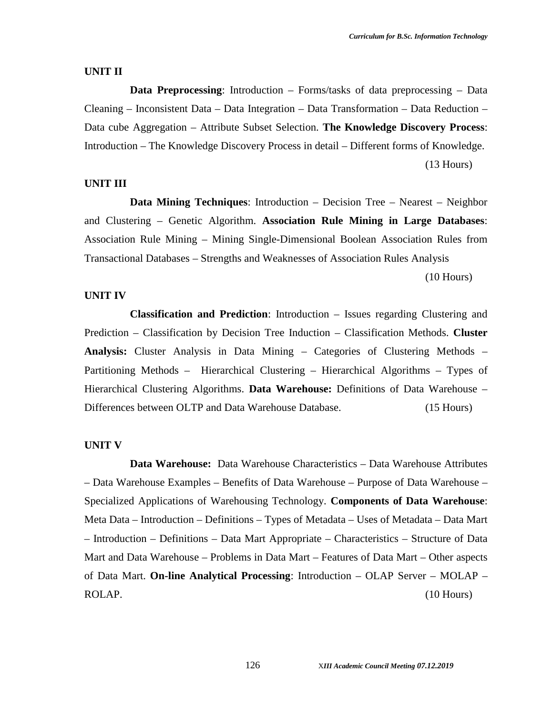#### **UNIT II**

**Data Preprocessing**: Introduction – Forms/tasks of data preprocessing – Data Cleaning – Inconsistent Data – Data Integration – Data Transformation – Data Reduction – Data cube Aggregation – Attribute Subset Selection. **The Knowledge Discovery Process**: Introduction – The Knowledge Discovery Process in detail – Different forms of Knowledge. (13 Hours)

#### **UNIT III**

**Data Mining Techniques:** Introduction – Decision Tree – Nearest – Neighbor and Clustering – Genetic Algorithm. **Association Rule Mining in Large Databases**: Association Rule Mining – Mining Single-Dimensional Boolean Association Rules from Transactional Databases – Strengths and Weaknesses of Association Rules Analysis

(10 Hours)

#### **UNIT IV**

**Classification and Prediction**: Introduction – Issues regarding Clustering and Prediction – Classification by Decision Tree Induction – Classification Methods. **Cluster Analysis:** Cluster Analysis in Data Mining – Categories of Clustering Methods – Partitioning Methods – Hierarchical Clustering – Hierarchical Algorithms – Types of Hierarchical Clustering Algorithms. **Data Warehouse:** Definitions of Data Warehouse – Differences between OLTP and Data Warehouse Database. (15 Hours)

#### **UNIT V**

**Data Warehouse:** Data Warehouse Characteristics – Data Warehouse Attributes – Data Warehouse Examples – Benefits of Data Warehouse – Purpose of Data Warehouse – Specialized Applications of Warehousing Technology. **Components of Data Warehouse**: Meta Data – Introduction – Definitions – Types of Metadata – Uses of Metadata – Data Mart – Introduction – Definitions – Data Mart Appropriate – Characteristics – Structure of Data Mart and Data Warehouse – Problems in Data Mart – Features of Data Mart – Other aspects of Data Mart. **On-line Analytical Processing**: Introduction – OLAP Server – MOLAP – ROLAP. (10 Hours)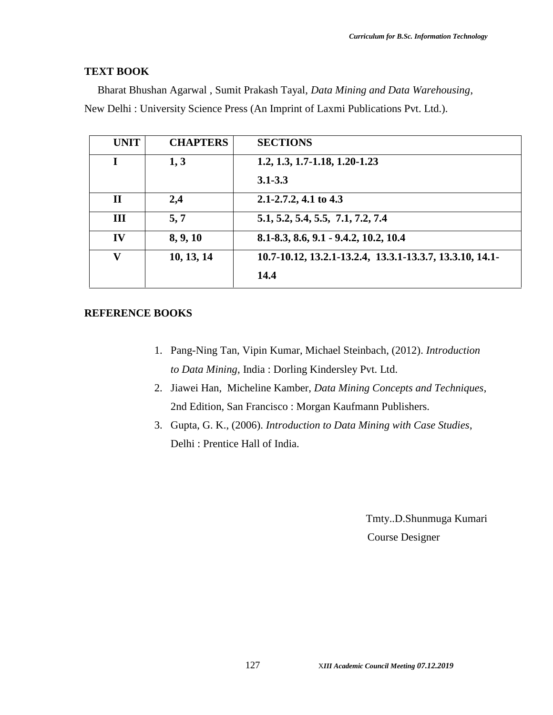#### **TEXT BOOK**

Bharat Bhushan Agarwal , Sumit Prakash Tayal, *Data Mining and Data Warehousing*, New Delhi : University Science Press (An Imprint of Laxmi Publications Pvt. Ltd.).

| <b>UNIT</b>  | <b>CHAPTERS</b> | <b>SECTIONS</b>                                          |
|--------------|-----------------|----------------------------------------------------------|
|              | 1, 3            | $1.2, 1.3, 1.7 - 1.18, 1.20 - 1.23$                      |
|              |                 | $3.1 - 3.3$                                              |
| $\mathbf{I}$ | 2,4             | $2.1 - 2.7.2$ , 4.1 to 4.3                               |
| III          | 5, 7            | 5.1, 5.2, 5.4, 5.5, 7.1, 7.2, 7.4                        |
| IV           | 8, 9, 10        | 8.1-8.3, 8.6, 9.1 - 9.4.2, 10.2, 10.4                    |
| $\mathbf{V}$ | 10, 13, 14      | 10.7-10.12, 13.2.1-13.2.4, 13.3.1-13.3.7, 13.3.10, 14.1- |
|              |                 | 14.4                                                     |

#### **REFERENCE BOOKS**

- 1. Pang-Ning Tan, Vipin Kumar, Michael Steinbach, (2012). *Introduction to Data Mining*, India : Dorling Kindersley Pvt. Ltd.
- 2. Jiawei Han, Micheline Kamber, *Data Mining Concepts and Techniques*, 2nd Edition, San Francisco : Morgan Kaufmann Publishers.
- 3. Gupta, G. K., (2006). *Introduction to Data Mining with Case Studies*, Delhi : Prentice Hall of India.

Tmty..D.Shunmuga Kumari Course Designer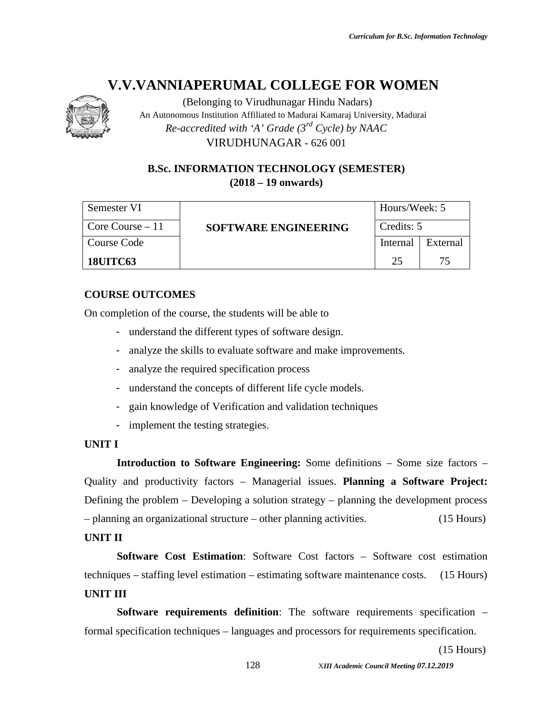

(Belonging to Virudhunagar Hindu Nadars) An Autonomous Institution Affiliated to Madurai Kamaraj University, Madurai *Re-accredited with 'A' Grade (3rd Cycle) by NAAC*

VIRUDHUNAGAR - 626 001

### **B.Sc. INFORMATION TECHNOLOGY (SEMESTER) (2018 – 19 onwards)**

| Semester VI       | <b>SOFTWARE ENGINEERING</b> | Hours/Week: 5 |          |
|-------------------|-----------------------------|---------------|----------|
| Core Course $-11$ |                             | Credits: 5    |          |
| Course Code       |                             | Internal      | External |
| <b>18UITC63</b>   |                             | 25            | 75       |

### **COURSE OUTCOMES**

On completion of the course, the students will be able to

- understand the different types of software design.
- analyze the skills to evaluate software and make improvements.
- analyze the required specification process
- understand the concepts of different life cycle models.
- gain knowledge of Verification and validation techniques
- implement the testing strategies.

#### **UNIT I**

**Introduction to Software Engineering:** Some definitions – Some size factors – Quality and productivity factors – Managerial issues. **Planning a Software Project:** Defining the problem – Developing a solution strategy – planning the development process – planning an organizational structure – other planning activities. (15 Hours)

### **UNIT II**

**Software Cost Estimation**: Software Cost factors – Software cost estimation techniques – staffing level estimation – estimating software maintenance costs. (15 Hours) **UNIT III**

**Software requirements definition**: The software requirements specification – formal specification techniques – languages and processors for requirements specification.

(15 Hours)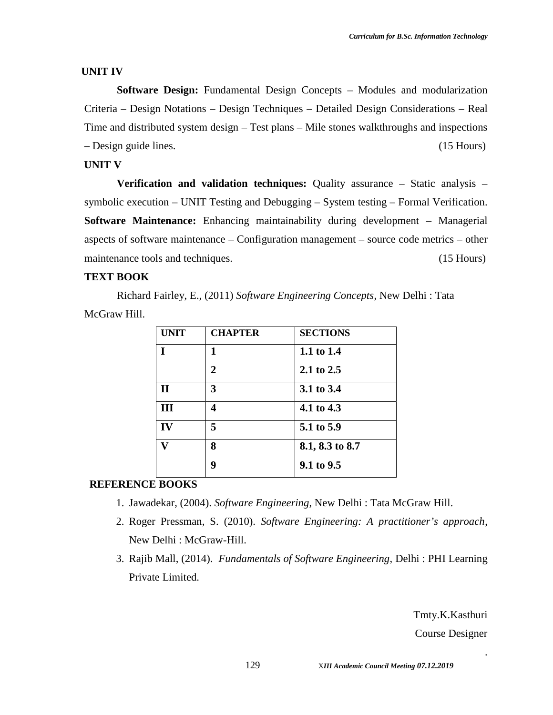#### **UNIT IV**

**Software Design:** Fundamental Design Concepts – Modules and modularization Criteria – Design Notations – Design Techniques – Detailed Design Considerations – Real Time and distributed system design – Test plans – Mile stones walkthroughs and inspections – Design guide lines. (15 Hours)

#### **UNIT V**

**Verification and validation techniques:** Quality assurance – Static analysis – symbolic execution – UNIT Testing and Debugging – System testing – Formal Verification. **Software Maintenance:** Enhancing maintainability during development – Managerial aspects of software maintenance – Configuration management – source code metrics – other maintenance tools and techniques. (15 Hours)

#### **TEXT BOOK**

Richard Fairley, E., (2011) *Software Engineering Concepts*, New Delhi : Tata McGraw Hill.

| <b>UNIT</b>  | <b>CHAPTER</b> | <b>SECTIONS</b> |
|--------------|----------------|-----------------|
| T            | 1              | 1.1 to 1.4      |
|              | $\mathbf{2}$   | 2.1 to 2.5      |
| $\mathbf{I}$ | 3              | 3.1 to 3.4      |
| III          | 4              | 4.1 to 4.3      |
| IV           | 5              | 5.1 to 5.9      |
| T7           | 8              | 8.1, 8.3 to 8.7 |
|              | 9              | 9.1 to 9.5      |

#### **REFERENCE BOOKS**

- 1. Jawadekar, (2004). *Software Engineering*, New Delhi : Tata McGraw Hill.
- 2. Roger Pressman, S. (2010). *Software Engineering: A practitioner's approach*, New Delhi : McGraw-Hill.
- 3. Rajib Mall, (2014). *Fundamentals of Software Engineering*, Delhi : PHI Learning Private Limited.

Tmty.K.Kasthuri Course Designer

.

129 X*III Academic Council Meeting 07.12.2019*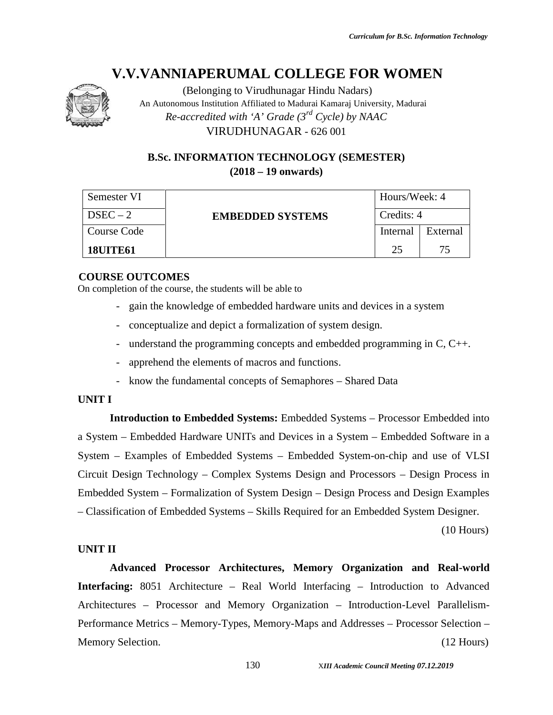

(Belonging to Virudhunagar Hindu Nadars) An Autonomous Institution Affiliated to Madurai Kamaraj University, Madurai *Re-accredited with 'A' Grade (3rd Cycle) by NAAC* VIRUDHUNAGAR - 626 001

### **B.Sc. INFORMATION TECHNOLOGY (SEMESTER) (2018 – 19 onwards)**

| Semester VI     | <b>EMBEDDED SYSTEMS</b> | Hours/Week: 4 |          |
|-----------------|-------------------------|---------------|----------|
| $DSEC-2$        |                         | Credits: 4    |          |
| Course Code     |                         | Internal      | External |
| <b>18UITE61</b> |                         | 25            | 75       |

#### **COURSE OUTCOMES**

On completion of the course, the students will be able to

- gain the knowledge of embedded hardware units and devices in a system
- conceptualize and depict a formalization of system design.
- understand the programming concepts and embedded programming in C, C++.
- apprehend the elements of macros and functions.
- know the fundamental concepts of Semaphores Shared Data

#### **UNIT I**

**Introduction to Embedded Systems:** Embedded Systems – Processor Embedded into a System – Embedded Hardware UNITs and Devices in a System – Embedded Software in a System – Examples of Embedded Systems – Embedded System-on-chip and use of VLSI Circuit Design Technology – Complex Systems Design and Processors – Design Process in Embedded System – Formalization of System Design – Design Process and Design Examples – Classification of Embedded Systems – Skills Required for an Embedded System Designer.

(10 Hours)

#### **UNIT II**

**Advanced Processor Architectures, Memory Organization and Real-world Interfacing:** 8051 Architecture – Real World Interfacing – Introduction to Advanced Architectures – Processor and Memory Organization – Introduction-Level Parallelism- Performance Metrics – Memory-Types, Memory-Maps and Addresses – Processor Selection – Memory Selection. (12 Hours) (12 Hours)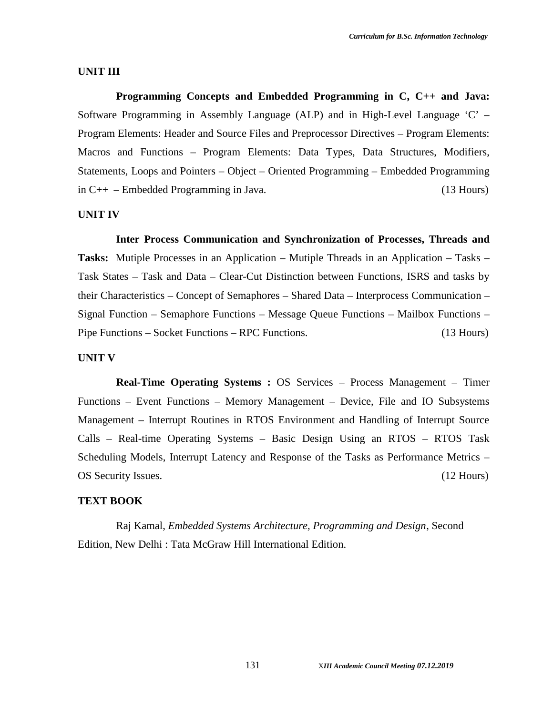#### **UNIT III**

**Programming Concepts and Embedded Programming in C, C++ and Java:** Software Programming in Assembly Language (ALP) and in High-Level Language 'C' – Program Elements: Header and Source Files and Preprocessor Directives – Program Elements: Macros and Functions – Program Elements: Data Types, Data Structures, Modifiers, Statements, Loops and Pointers – Object – Oriented Programming – Embedded Programming in C++ – Embedded Programming in Java. (13 Hours)

#### **UNIT IV**

**Inter Process Communication and Synchronization of Processes, Threads and Tasks:** Mutiple Processes in an Application – Mutiple Threads in an Application – Tasks – Task States – Task and Data – Clear-Cut Distinction between Functions, ISRS and tasks by their Characteristics – Concept of Semaphores – Shared Data – Interprocess Communication – Signal Function – Semaphore Functions – Message Queue Functions – Mailbox Functions – Pipe Functions – Socket Functions – RPC Functions. (13 Hours)

#### **UNIT V**

**Real-Time Operating Systems :** OS Services – Process Management – Timer Functions – Event Functions – Memory Management – Device, File and IO Subsystems Management – Interrupt Routines in RTOS Environment and Handling of Interrupt Source Calls – Real-time Operating Systems – Basic Design Using an RTOS – RTOS Task Scheduling Models, Interrupt Latency and Response of the Tasks as Performance Metrics – OS Security Issues. (12 Hours)

#### **TEXT BOOK**

Raj Kamal, *Embedded Systems Architecture, Programming and Design*, Second Edition, New Delhi : Tata McGraw Hill International Edition.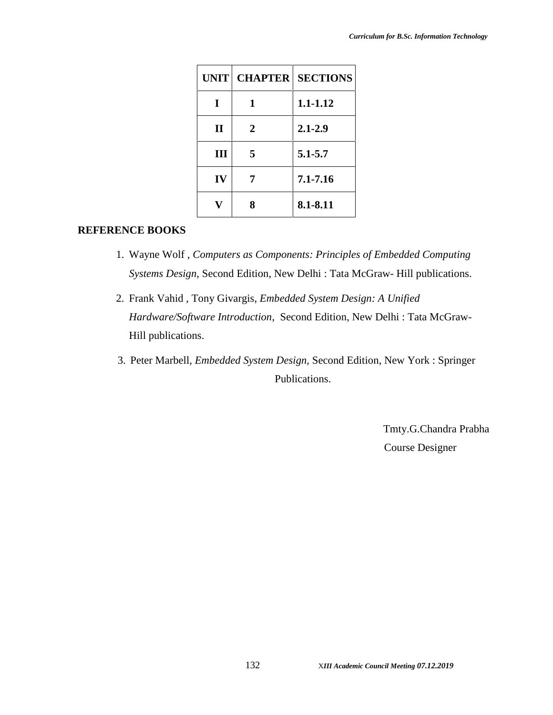|              | UNIT CHAPTER | <b>SECTIONS</b> |
|--------------|--------------|-----------------|
| I            | 1            | 1.1-1.12        |
| $\mathbf{I}$ | 2            | $2.1 - 2.9$     |
| Ш            | 5            | $5.1 - 5.7$     |
| IV           |              | 7.1-7.16        |
|              | 8            | 8.1-8.11        |

#### **REFERENCE BOOKS**

- 1. Wayne Wolf , *Computers as Components: Principles of Embedded Computing Systems Design*, Second Edition, New Delhi : Tata McGraw- Hill publications.
- 2. Frank Vahid , Tony Givargis, *Embedded System Design: A Unified Hardware/Software Introduction*, Second Edition, New Delhi : Tata McGraw- Hill publications.
- 3. Peter Marbell, *Embedded System Design,* Second Edition, New York : Springer Publications.

Tmty.G.Chandra Prabha Course Designer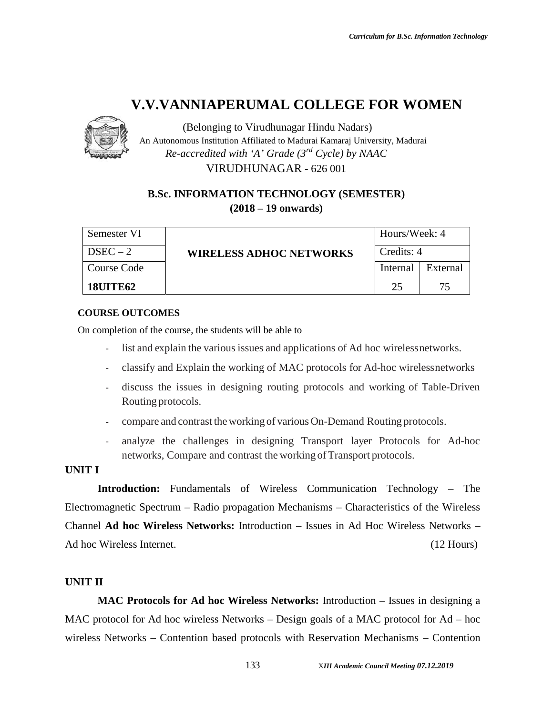

(Belonging to Virudhunagar Hindu Nadars) An Autonomous Institution Affiliated to Madurai Kamaraj University, Madurai *Re-accredited with 'A' Grade (3rd Cycle) by NAAC* VIRUDHUNAGAR - 626 001

### **B.Sc. INFORMATION TECHNOLOGY (SEMESTER) (2018 – 19 onwards)**

| Semester VI     | <b>WIRELESS ADHOC NETWORKS</b> | Hours/Week: 4 |          |  |
|-----------------|--------------------------------|---------------|----------|--|
| $DSEC-2$        |                                | Credits: 4    |          |  |
| Course Code     |                                | Internal      | External |  |
| <b>18UITE62</b> |                                | 25            | 75       |  |

#### **COURSE OUTCOMES**

On completion of the course, the students will be able to

- list and explain the various issues and applications of Ad hoc wirelessnetworks.
- classify and Explain the working of MAC protocols for Ad-hoc wirelessnetworks
- discuss the issues in designing routing protocols and working of Table-Driven Routing protocols.
- compare and contrast the working of various On-Demand Routing protocols.
- analyze the challenges in designing Transport layer Protocols for Ad-hoc networks, Compare and contrast the working of Transport protocols.

#### **UNIT I**

**Introduction:** Fundamentals of Wireless Communication Technology – The Electromagnetic Spectrum – Radio propagation Mechanisms – Characteristics of the Wireless Channel **Ad hoc Wireless Networks:** Introduction – Issues in Ad Hoc Wireless Networks – Ad hoc Wireless Internet. (12 Hours)

### **UNIT II**

**MAC Protocols for Ad hoc Wireless Networks:** Introduction – Issues in designing a MAC protocol for Ad hoc wireless Networks – Design goals of a MAC protocol for Ad – hoc wireless Networks – Contention based protocols with Reservation Mechanisms – Contention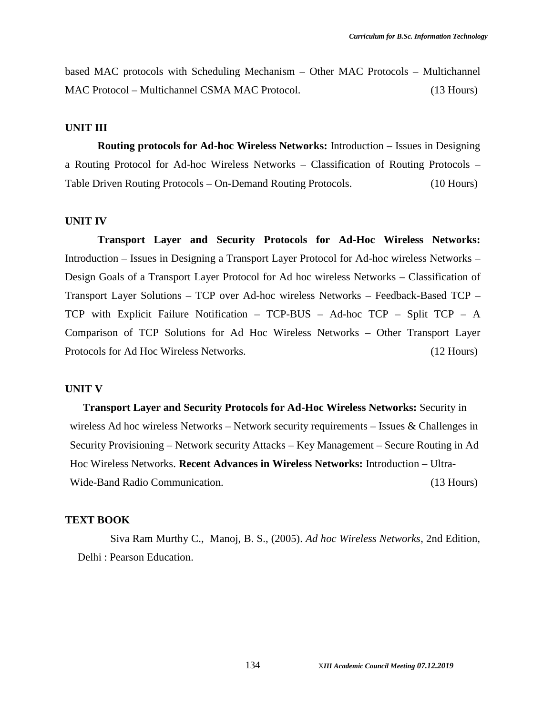based MAC protocols with Scheduling Mechanism – Other MAC Protocols – Multichannel MAC Protocol – Multichannel CSMA MAC Protocol. (13 Hours)

#### **UNIT III**

**Routing protocols for Ad-hoc Wireless Networks:** Introduction – Issues in Designing a Routing Protocol for Ad-hoc Wireless Networks – Classification of Routing Protocols – Table Driven Routing Protocols – On-Demand Routing Protocols. (10 Hours)

#### **UNIT IV**

**Transport Layer and Security Protocols for Ad-Hoc Wireless Networks:** Introduction – Issues in Designing a Transport Layer Protocol for Ad-hoc wireless Networks – Design Goals of a Transport Layer Protocol for Ad hoc wireless Networks – Classification of Transport Layer Solutions – TCP over Ad-hoc wireless Networks – Feedback-Based TCP – TCP with Explicit Failure Notification – TCP-BUS – Ad-hoc TCP – Split TCP – A Comparison of TCP Solutions for Ad Hoc Wireless Networks – Other Transport Layer Protocols for Ad Hoc Wireless Networks. (12 Hours)

#### **UNIT V**

**Transport Layer and Security Protocols for Ad-Hoc Wireless Networks:** Security in wireless Ad hoc wireless Networks – Network security requirements – Issues & Challenges in Security Provisioning – Network security Attacks – Key Management – Secure Routing in Ad Hoc Wireless Networks. **Recent Advances in Wireless Networks:** Introduction – Ultra- Wide-Band Radio Communication. (13 Hours)

#### **TEXT BOOK**

Siva Ram Murthy C., Manoj, B. S., (2005). *Ad hoc Wireless Networks*, 2nd Edition, Delhi : Pearson Education.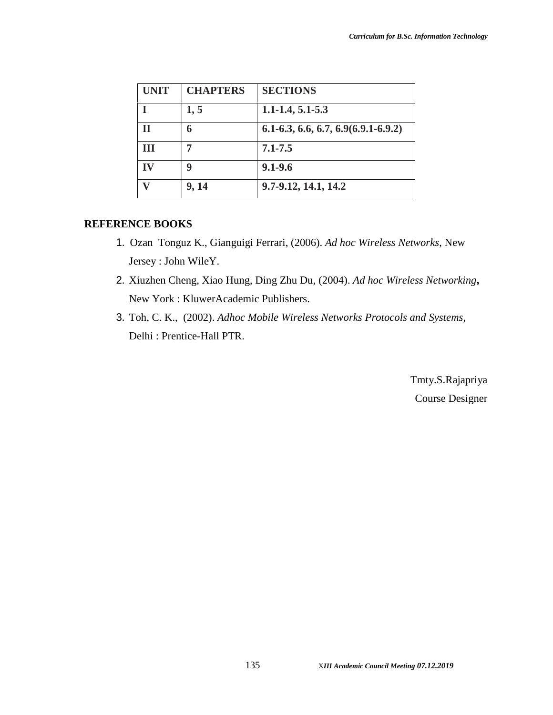| <b>UNIT</b> | <b>CHAPTERS</b> | <b>SECTIONS</b>                       |
|-------------|-----------------|---------------------------------------|
|             | 1, 5            | $1.1 - 1.4, 5.1 - 5.3$                |
|             | 6               | $6.1-6.3, 6.6, 6.7, 6.9(6.9.1-6.9.2)$ |
| ш           |                 | $7.1 - 7.5$                           |
|             | q               | $9.1 - 9.6$                           |
|             | 9, 14           | 9.7-9.12, 14.1, 14.2                  |

#### **REFERENCE BOOKS**

- 1. Ozan Tonguz K., Gianguigi Ferrari, (2006). *Ad hoc Wireless Networks*, New Jersey : John WileY.
- 2. Xiuzhen Cheng, Xiao Hung, Ding Zhu Du, (2004). *Ad hoc Wireless Networking***,** New York : KluwerAcademic Publishers.
- 3. Toh, C. K., (2002). *Adhoc Mobile Wireless Networks Protocols and Systems*, Delhi : Prentice-Hall PTR.

Tmty.S.Rajapriya Course Designer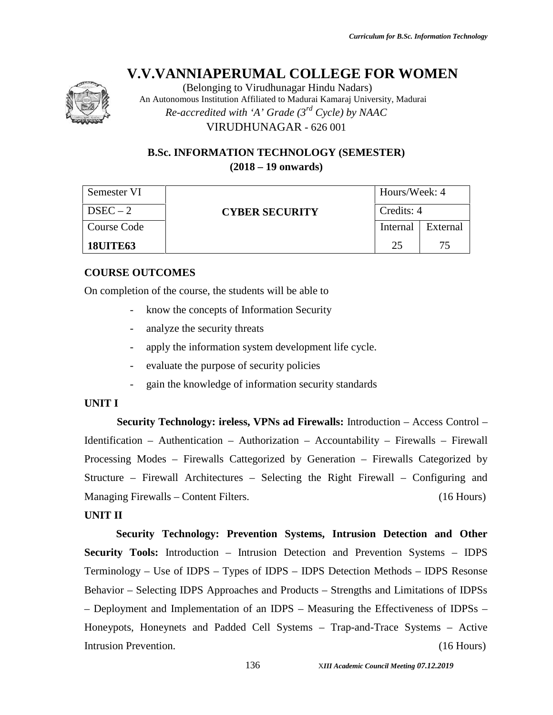

(Belonging to Virudhunagar Hindu Nadars) An Autonomous Institution Affiliated to Madurai Kamaraj University, Madurai *Re-accredited with 'A' Grade (3rd Cycle) by NAAC* VIRUDHUNAGAR - 626 001

### **B.Sc. INFORMATION TECHNOLOGY (SEMESTER) (2018 – 19 onwards)**

| Semester VI     | <b>CYBER SECURITY</b> | Hours/Week: 4<br>Credits: 4 |          |  |
|-----------------|-----------------------|-----------------------------|----------|--|
| $DSEC-2$        |                       |                             |          |  |
| Course Code     |                       | Internal                    | External |  |
| <b>18UITE63</b> |                       | 25                          | 75       |  |

### **COURSE OUTCOMES**

On completion of the course, the students will be able to

- know the concepts of Information Security
- analyze the security threats
- apply the information system development life cycle.
- evaluate the purpose of security policies
- gain the knowledge of information security standards

### **UNIT I**

**Security Technology: ireless, VPNs ad Firewalls:** Introduction – Access Control – Identification – Authentication – Authorization – Accountability – Firewalls – Firewall Processing Modes – Firewalls Cattegorized by Generation – Firewalls Categorized by Structure – Firewall Architectures – Selecting the Right Firewall – Configuring and Managing Firewalls – Content Filters. (16 Hours)

#### **UNIT II**

**Security Technology: Prevention Systems, Intrusion Detection and Other Security Tools:** Introduction – Intrusion Detection and Prevention Systems – IDPS Terminology – Use of IDPS – Types of IDPS – IDPS Detection Methods – IDPS Resonse Behavior – Selecting IDPS Approaches and Products – Strengths and Limitations of IDPSs – Deployment and Implementation of an IDPS – Measuring the Effectiveness of IDPSs – Honeypots, Honeynets and Padded Cell Systems – Trap-and-Trace Systems – Active Intrusion Prevention. (16 Hours)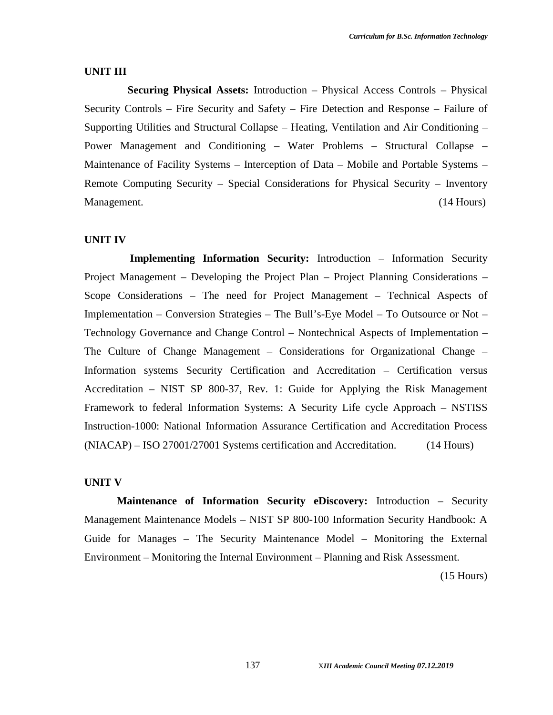#### **UNIT III**

**Securing Physical Assets:** Introduction – Physical Access Controls – Physical Security Controls – Fire Security and Safety – Fire Detection and Response – Failure of Supporting Utilities and Structural Collapse – Heating, Ventilation and Air Conditioning – Power Management and Conditioning – Water Problems – Structural Collapse – Maintenance of Facility Systems – Interception of Data – Mobile and Portable Systems – Remote Computing Security – Special Considerations for Physical Security – Inventory Management. (14 Hours) (14 Hours)

#### **UNIT IV**

**Implementing Information Security:** Introduction – Information Security Project Management – Developing the Project Plan – Project Planning Considerations – Scope Considerations – The need for Project Management – Technical Aspects of Implementation – Conversion Strategies – The Bull's-Eye Model – To Outsource or Not – Technology Governance and Change Control – Nontechnical Aspects of Implementation – The Culture of Change Management – Considerations for Organizational Change – Information systems Security Certification and Accreditation – Certification versus Accreditation – NIST SP 800-37, Rev. 1: Guide for Applying the Risk Management Framework to federal Information Systems: A Security Life cycle Approach – NSTISS Instruction-1000: National Information Assurance Certification and Accreditation Process (NIACAP) – ISO 27001/27001 Systems certification and Accreditation. (14 Hours)

#### **UNIT V**

**Maintenance of Information Security eDiscovery:** Introduction – Security Management Maintenance Models – NIST SP 800-100 Information Security Handbook: A Guide for Manages – The Security Maintenance Model – Monitoring the External Environment – Monitoring the Internal Environment – Planning and Risk Assessment.

(15 Hours)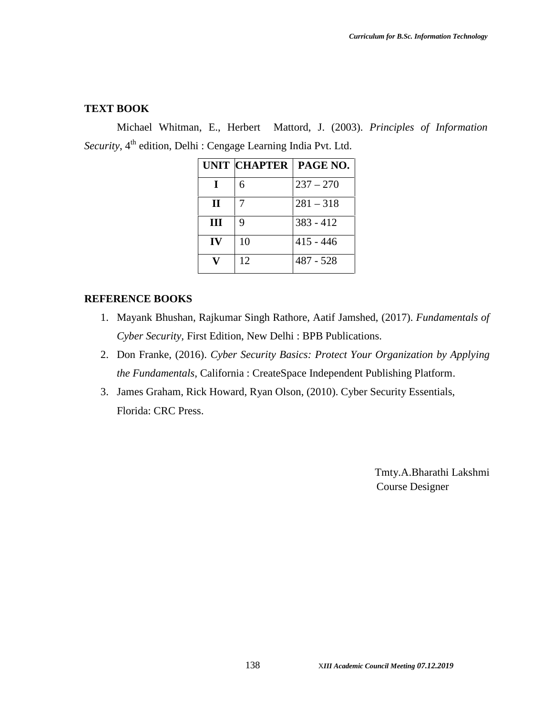#### **TEXT BOOK**

Michael Whitman, E., Herbert Mattord, J. (2003). *Principles of Information* Security, 4<sup>th</sup> edition, Delhi : Cengage Learning India Pvt. Ltd.

|             | UNIT CHAPTER | PAGE NO.    |
|-------------|--------------|-------------|
|             | 6            | $237 - 270$ |
| $\mathbf H$ |              | $281 - 318$ |
| Ш           | 9            | $383 - 412$ |
| IV          | 10           | $415 - 446$ |
|             | 12           | $487 - 528$ |

#### **REFERENCE BOOKS**

- 1. Mayank Bhushan, Rajkumar Singh Rathore, Aatif Jamshed, (2017). *Fundamentals of Cyber Security,* First Edition, New Delhi : BPB Publications.
- 2. Don Franke, (2016). *Cyber Security Basics: Protect Your Organization by Applying the Fundamentals*, California : CreateSpace Independent Publishing Platform.
- 3. James Graham, Rick Howard, Ryan Olson, (2010). Cyber Security Essentials, Florida: CRC Press.

Tmty.A.Bharathi Lakshmi Course Designer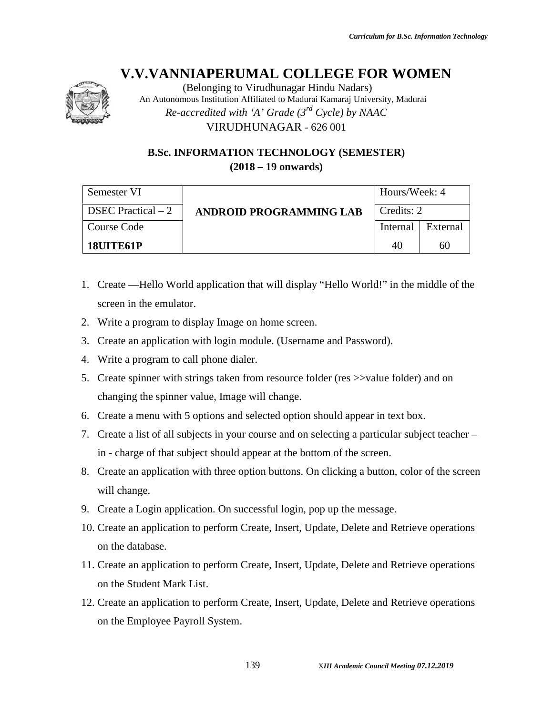

(Belonging to Virudhunagar Hindu Nadars) An Autonomous Institution Affiliated to Madurai Kamaraj University, Madurai *Re-accredited with 'A' Grade (3rd Cycle) by NAAC* VIRUDHUNAGAR - 626 001

### **B.Sc. INFORMATION TECHNOLOGY (SEMESTER) (2018 – 19 onwards)**

| Semester VI         |                                | Hours/Week: 4 |          |
|---------------------|--------------------------------|---------------|----------|
| DSEC Practical $-2$ | <b>ANDROID PROGRAMMING LAB</b> | Credits: 2    |          |
| Course Code         |                                | Internal      | External |
| 18UITE61P           |                                | 40            | 60       |

- 1. Create Hello World application that will display "Hello World!" in the middle of the screen in the emulator.
- 2. Write a program to display Image on home screen.
- 3. Create an application with login module. (Username and Password).
- 4. Write a program to call phone dialer.
- 5. Create spinner with strings taken from resource folder (res >>value folder) and on changing the spinner value, Image will change.
- 6. Create a menu with 5 options and selected option should appear in text box.
- 7. Create a list of all subjects in your course and on selecting a particular subject teacher in - charge of that subject should appear at the bottom of the screen.
- 8. Create an application with three option buttons. On clicking a button, color of the screen will change.
- 9. Create a Login application. On successful login, pop up the message.
- 10. Create an application to perform Create, Insert, Update, Delete and Retrieve operations on the database.
- 11. Create an application to perform Create, Insert, Update, Delete and Retrieve operations on the Student Mark List.
- 12. Create an application to perform Create, Insert, Update, Delete and Retrieve operations on the Employee Payroll System.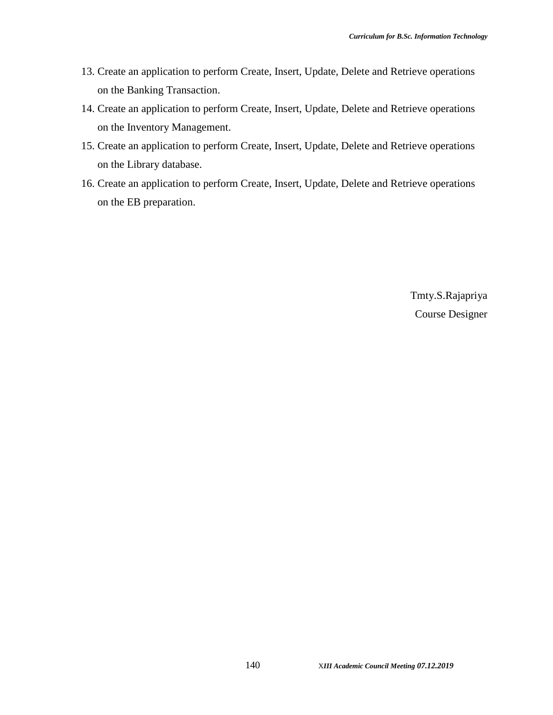- 13. Create an application to perform Create, Insert, Update, Delete and Retrieve operations on the Banking Transaction.
- 14. Create an application to perform Create, Insert, Update, Delete and Retrieve operations on the Inventory Management.
- 15. Create an application to perform Create, Insert, Update, Delete and Retrieve operations on the Library database.
- 16. Create an application to perform Create, Insert, Update, Delete and Retrieve operations on the EB preparation.

Tmty.S.Rajapriya Course Designer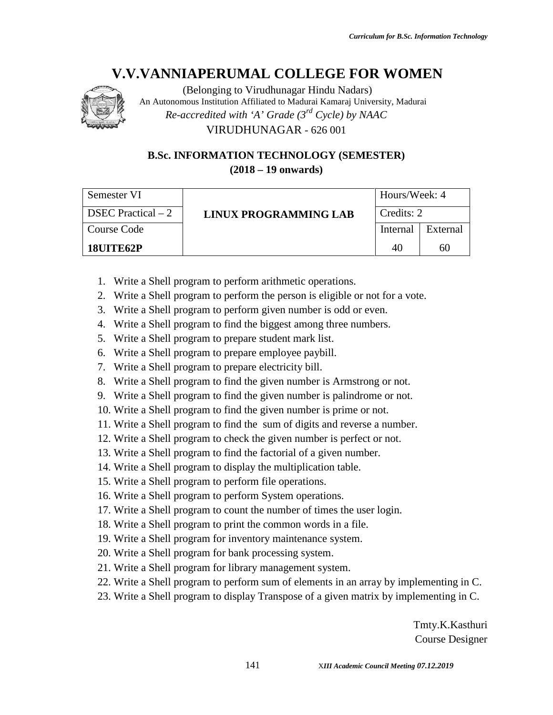

(Belonging to Virudhunagar Hindu Nadars) An Autonomous Institution Affiliated to Madurai Kamaraj University, Madurai *Re-accredited with 'A' Grade (3rd Cycle) by NAAC* VIRUDHUNAGAR - 626 001

### **B.Sc. INFORMATION TECHNOLOGY (SEMESTER) (2018 – 19 onwards)**

| Semester VI         |                       | Hours/Week: 4 |          |
|---------------------|-----------------------|---------------|----------|
| DSEC Practical $-2$ | LINUX PROGRAMMING LAB | Credits: 2    |          |
| Course Code         |                       | Internal      | External |
| 18UITE62P           |                       | 40            | 60       |

- 1. Write a Shell program to perform arithmetic operations.
- 2. Write a Shell program to perform the person is eligible or not for a vote.
- 3. Write a Shell program to perform given number is odd or even.
- 4. Write a Shell program to find the biggest among three numbers.
- 5. Write a Shell program to prepare student mark list.
- 6. Write a Shell program to prepare employee paybill.
- 7. Write a Shell program to prepare electricity bill.
- 8. Write a Shell program to find the given number is Armstrong or not.
- 9. Write a Shell program to find the given number is palindrome or not.
- 10. Write a Shell program to find the given number is prime or not.
- 11. Write a Shell program to find the sum of digits and reverse a number.
- 12. Write a Shell program to check the given number is perfect or not.
- 13. Write a Shell program to find the factorial of a given number.
- 14. Write a Shell program to display the multiplication table.
- 15. Write a Shell program to perform file operations.
- 16. Write a Shell program to perform System operations.
- 17. Write a Shell program to count the number of times the user login.
- 18. Write a Shell program to print the common words in a file.
- 19. Write a Shell program for inventory maintenance system.
- 20. Write a Shell program for bank processing system.
- 21. Write a Shell program for library management system.
- 22. Write a Shell program to perform sum of elements in an array by implementing in C.
- 23. Write a Shell program to display Transpose of a given matrix by implementing in C.

Tmty.K.Kasthuri Course Designer